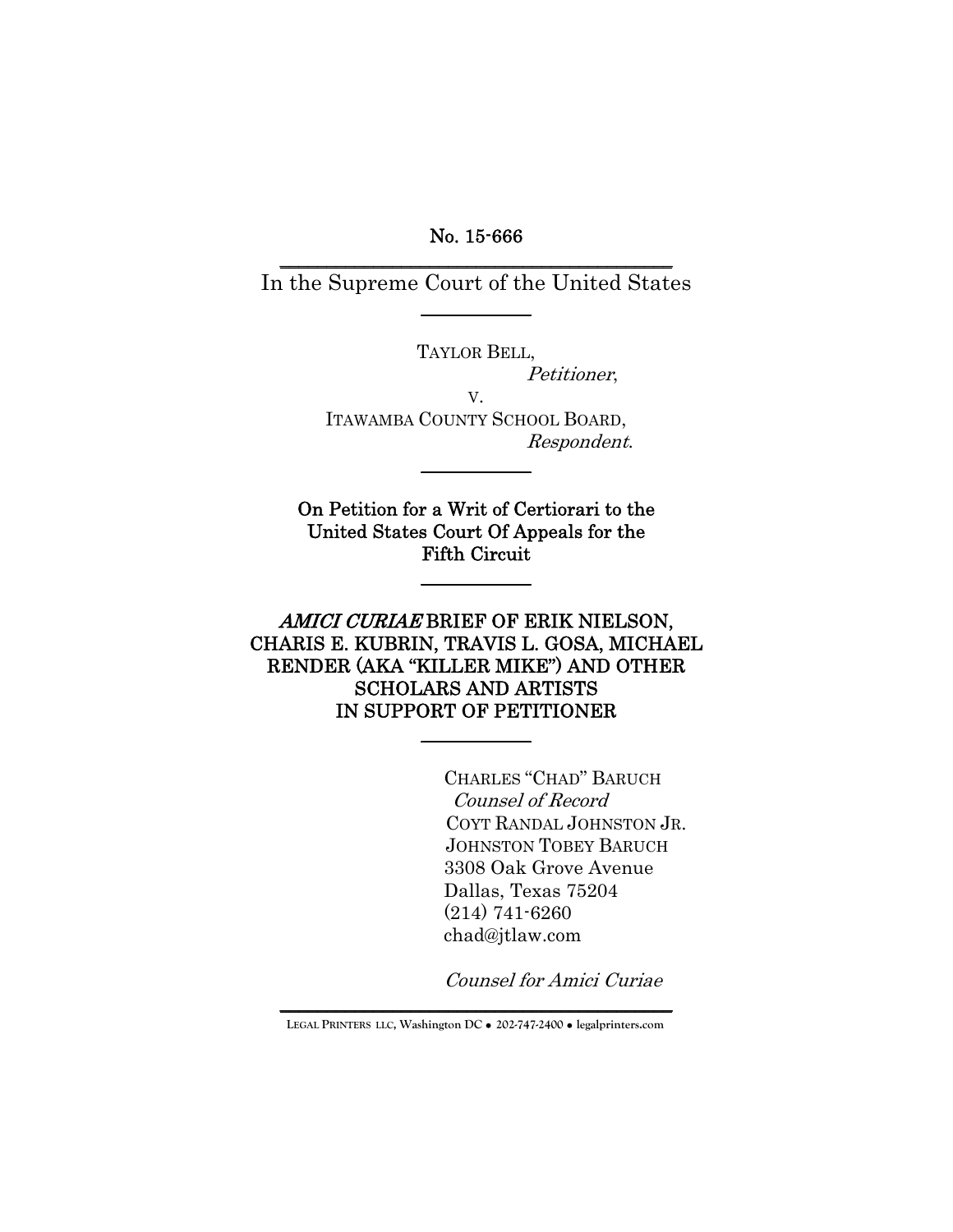No. 15-666 \_\_\_\_\_\_\_\_\_\_\_\_\_\_\_\_\_\_\_\_\_\_\_\_\_\_\_\_\_\_\_\_\_\_\_\_\_\_\_\_\_\_

In the Supreme Court of the United States  $\overline{\phantom{a}}$ 

TAYLOR BELL,

Petitioner,

V.

ITAWAMBA COUNTY SCHOOL BOARD, Respondent.

 $\overline{\phantom{a}}$ 

On Petition for a Writ of Certiorari to the United States Court Of Appeals for the Fifth Circuit

 $\overline{\phantom{a}}$  .  $\overline{\phantom{a}}$ 

AMICI CURIAE BRIEF OF ERIK NIELSON, CHARIS E. KUBRIN, TRAVIS L. GOSA, MICHAEL RENDER (AKA "KILLER MIKE") AND OTHER SCHOLARS AND ARTISTS IN SUPPORT OF PETITIONER

 $\overline{\phantom{a}}$ 

CHARLES "CHAD" BARUCH Counsel of Record COYT RANDAL JOHNSTON JR. JOHNSTON TOBEY BARUCH 3308 Oak Grove Avenue Dallas, Texas 75204 (214) 741-6260 chad@jtlaw.com

Counsel for Amici Curiae

\_\_\_\_\_\_\_\_\_\_\_\_\_\_\_\_\_\_\_\_\_\_\_\_\_\_\_\_\_\_\_\_\_\_\_\_\_\_\_\_\_\_ **LEGAL PRINTERS LLC, Washington DC** ! **202-747-2400** ! **legalprinters.com**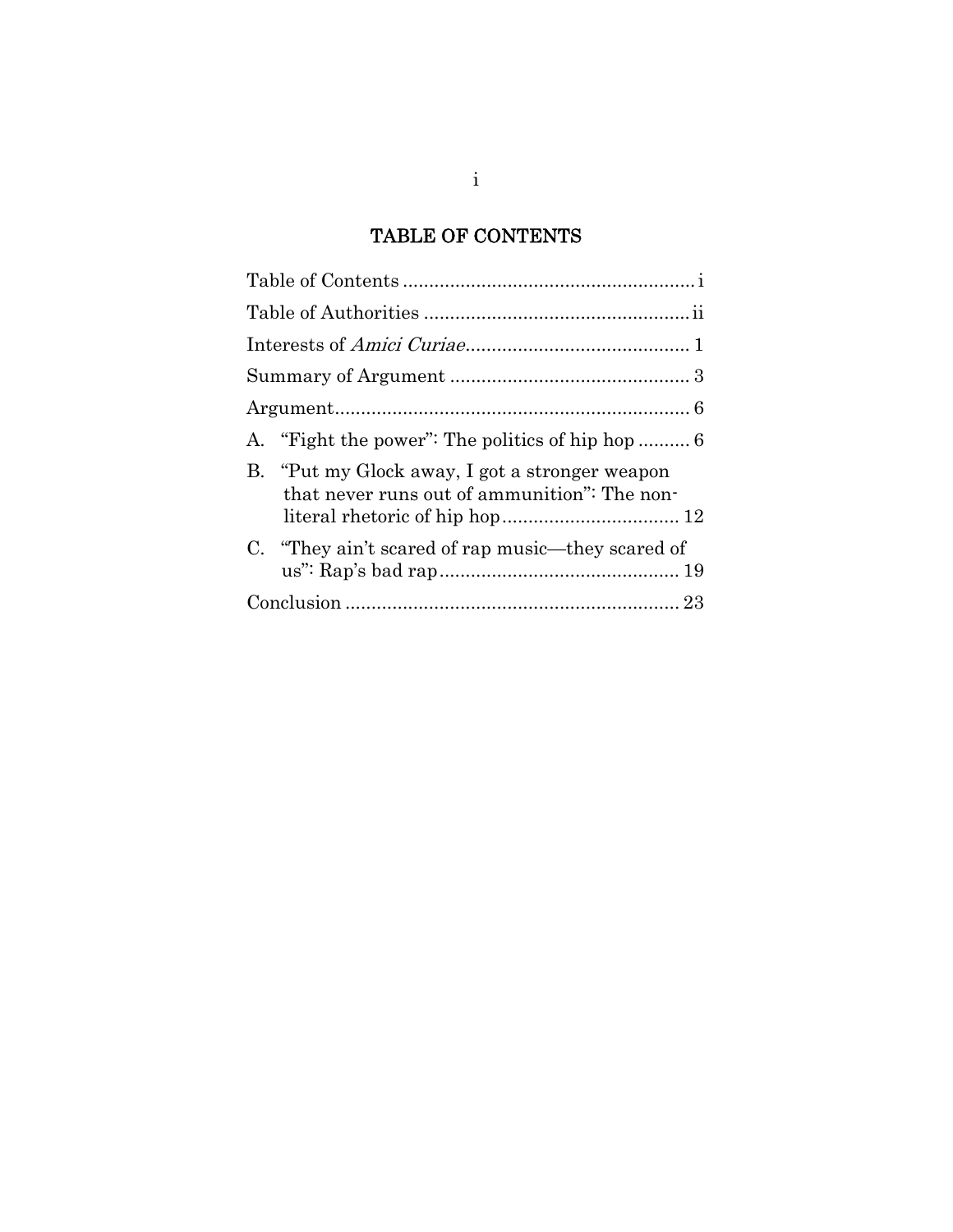## TABLE OF CONTENTS

| B. "Put my Glock away, I got a stronger weapon<br>that never runs out of ammunition": The non- |
|------------------------------------------------------------------------------------------------|
| C. "They ain't scared of rap music—they scared of                                              |
|                                                                                                |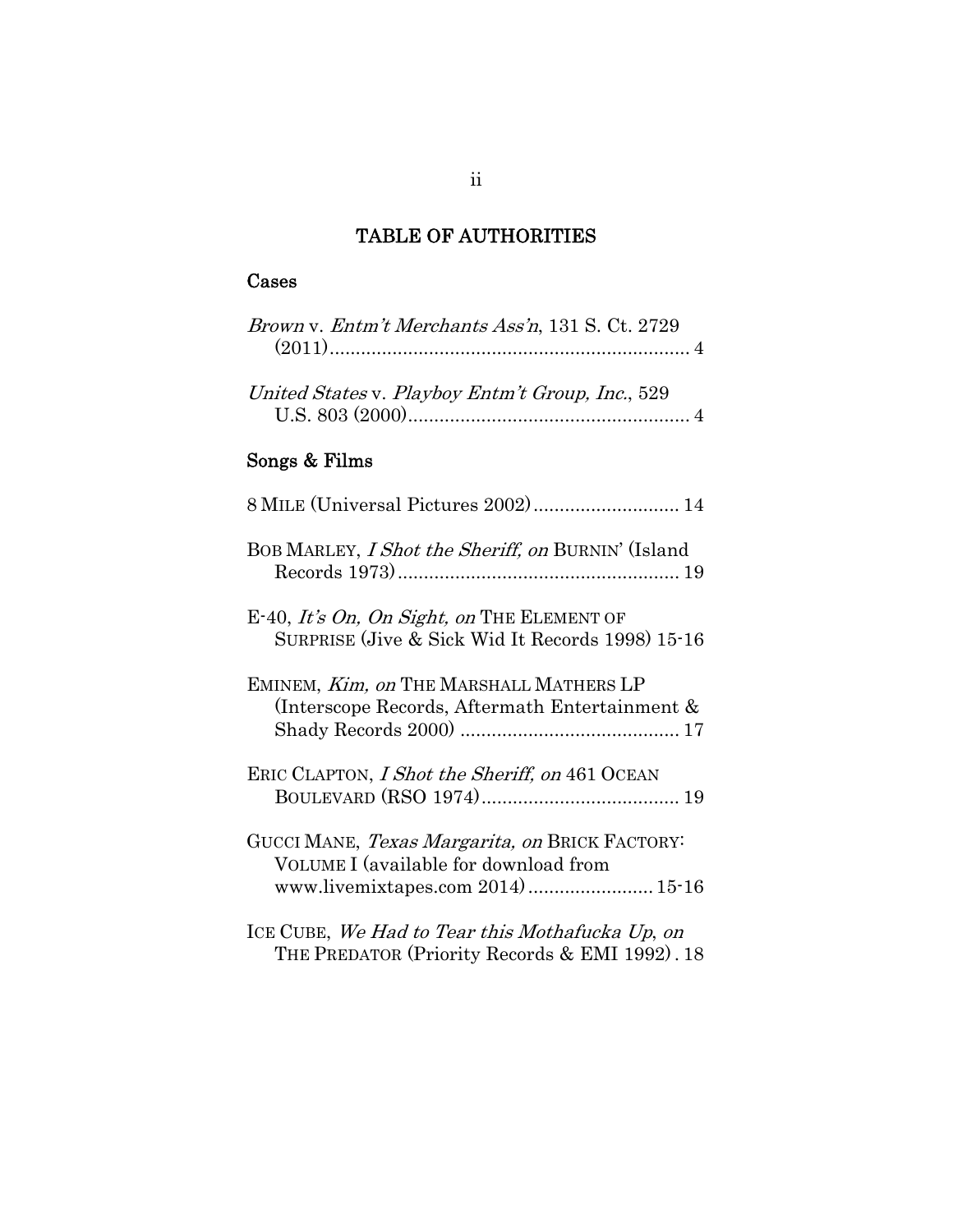## TABLE OF AUTHORITIES

## Cases

| <i>Brown v. Entm't Merchants Ass'n,</i> 131 S. Ct. 2729                                                                                        |
|------------------------------------------------------------------------------------------------------------------------------------------------|
| United States v. Playboy Entm't Group, Inc., 529                                                                                               |
| Songs & Films                                                                                                                                  |
| 8 MILE (Universal Pictures 2002) 14                                                                                                            |
| BOB MARLEY, I Shot the Sheriff, on BURNIN' (Island                                                                                             |
| E-40, It's On, On Sight, on THE ELEMENT OF<br>SURPRISE (Jive & Sick Wid It Records 1998) 15-16                                                 |
| EMINEM, Kim, on THE MARSHALL MATHERS LP<br>(Interscope Records, Aftermath Entertainment &                                                      |
| ERIC CLAPTON, I Shot the Sheriff, on 461 OCEAN                                                                                                 |
| GUCCI MANE, <i>Texas Margarita, on</i> BRICK FACTORY <sup>:</sup><br>VOLUME I (available for download from<br>www.livemixtapes.com 2014) 15-16 |
| ICE CUBE <i>, We Had to Tear this Mothafucka Up, on</i><br>THE PREDATOR (Priority Records & EMI 1992). 18                                      |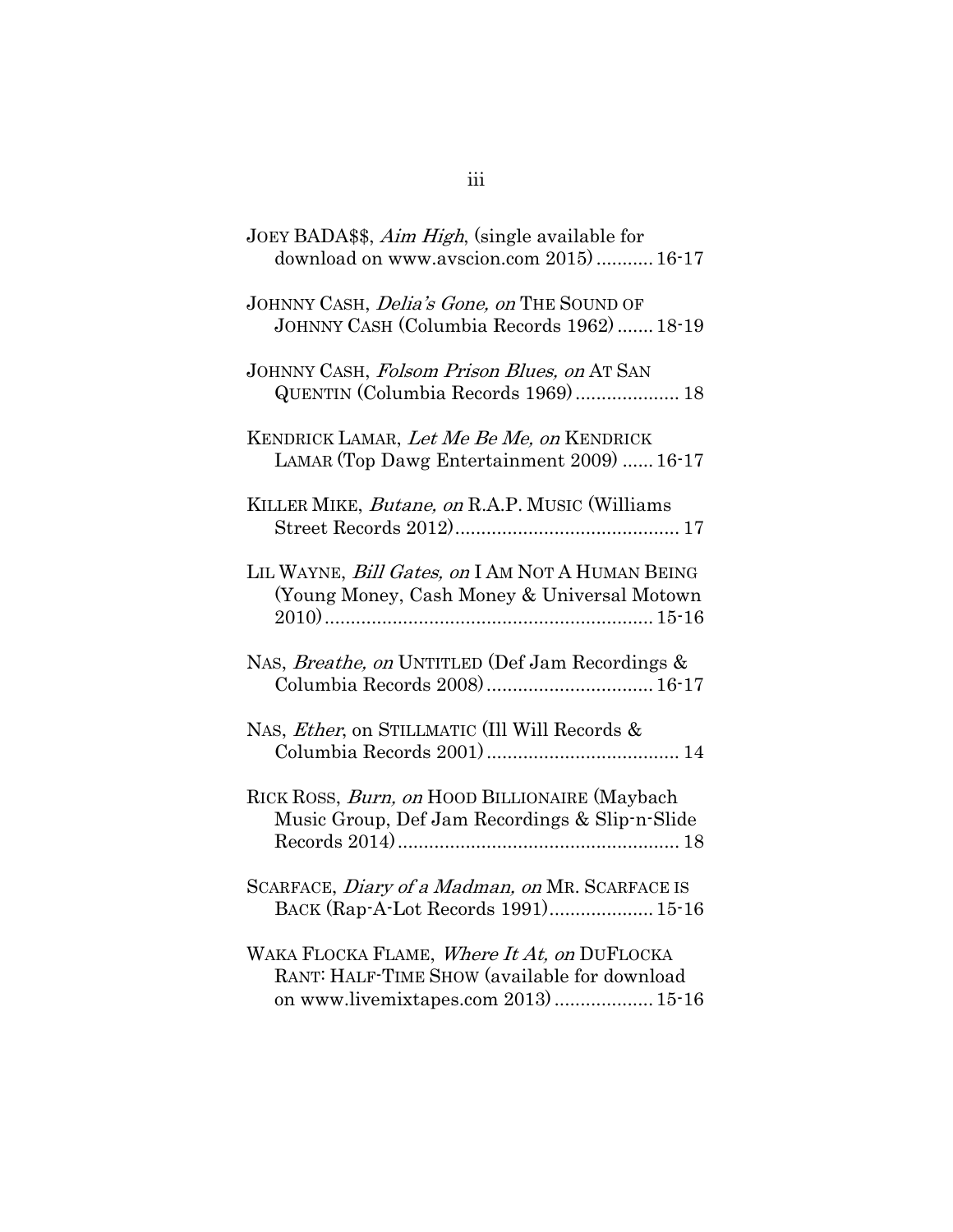| JOEY BADA\$\$, <i>Aim High</i> , (single available for<br>download on www.avscion.com 2015) 16-17                                  |
|------------------------------------------------------------------------------------------------------------------------------------|
| JOHNNY CASH, <i>Delia's Gone, on</i> THE SOUND OF<br>JOHNNY CASH (Columbia Records 1962) 18-19                                     |
| JOHNNY CASH, Folsom Prison Blues, on AT SAN<br>QUENTIN (Columbia Records 1969) 18                                                  |
| KENDRICK LAMAR, Let Me Be Me, on KENDRICK<br>LAMAR (Top Dawg Entertainment 2009)  16-17                                            |
| KILLER MIKE, Butane, on R.A.P. MUSIC (Williams                                                                                     |
| LIL WAYNE, Bill Gates, on I AM NOT A HUMAN BEING<br>(Young Money, Cash Money & Universal Motown                                    |
| NAS, <i>Breathe, on</i> UNTITLED (Def Jam Recordings &<br>Columbia Records 2008) 16-17                                             |
| NAS, <i>Ether</i> , on STILLMATIC (Ill Will Records &                                                                              |
| RICK ROSS, Burn, on HOOD BILLIONAIRE (Maybach<br>Music Group, Def Jam Recordings & Slip-n-Slide                                    |
| SCARFACE, <i>Diary of a Madman, on</i> MR. SCARFACE IS<br>BACK (Rap-A-Lot Records 1991) 15-16                                      |
| WAKA FLOCKA FLAME, Where It At, on DUFLOCKA<br>RANT: HALF-TIME SHOW (available for download<br>on www.livemixtapes.com 2013) 15-16 |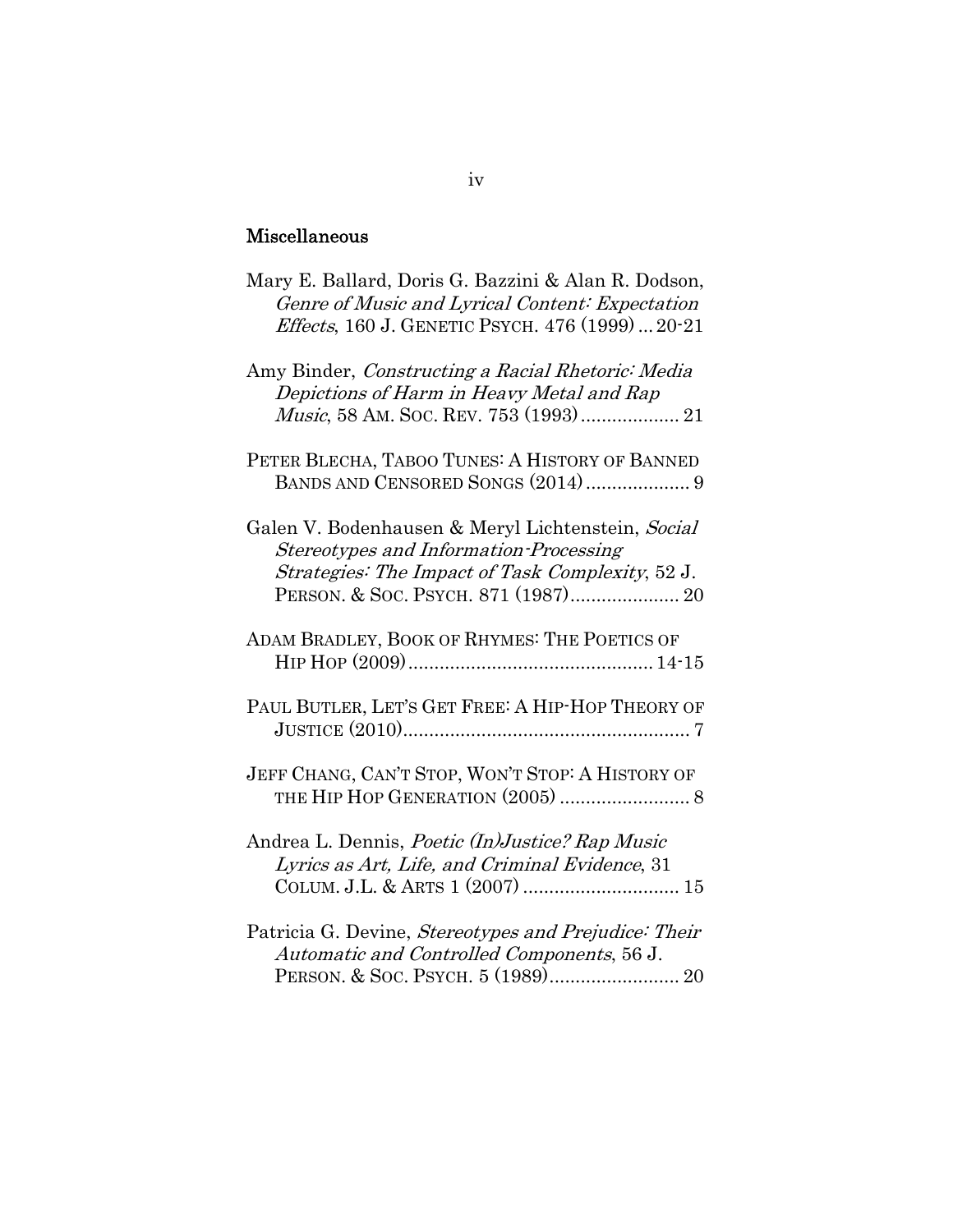## Miscellaneous

| Mary E. Ballard, Doris G. Bazzini & Alan R. Dodson,<br>Genre of Music and Lyrical Content: Expectation<br><i>Effects</i> , 160 J. GENETIC PSYCH. 476 (1999)20-21 |
|------------------------------------------------------------------------------------------------------------------------------------------------------------------|
| Amy Binder, Constructing a Racial Rhetoric: Media<br>Depictions of Harm in Heavy Metal and Rap                                                                   |
| PETER BLECHA, TABOO TUNES: A HISTORY OF BANNED                                                                                                                   |
| Galen V. Bodenhausen & Meryl Lichtenstein, Social<br>Stereotypes and Information-Processing<br>Strategies: The Impact of Task Complexity, 52 J.                  |
| ADAM BRADLEY, BOOK OF RHYMES: THE POETICS OF                                                                                                                     |
| PAUL BUTLER, LET'S GET FREE: A HIP-HOP THEORY OF                                                                                                                 |
| JEFF CHANG, CAN'T STOP, WON'T STOP: A HISTORY OF                                                                                                                 |
| Andrea L. Dennis, Poetic (In)Justice? Rap Music<br>Lyrics as Art, Life, and Criminal Evidence, 31                                                                |
| Patricia G. Devine, Stereotypes and Prejudice: Their<br>Automatic and Controlled Components, 56 J.                                                               |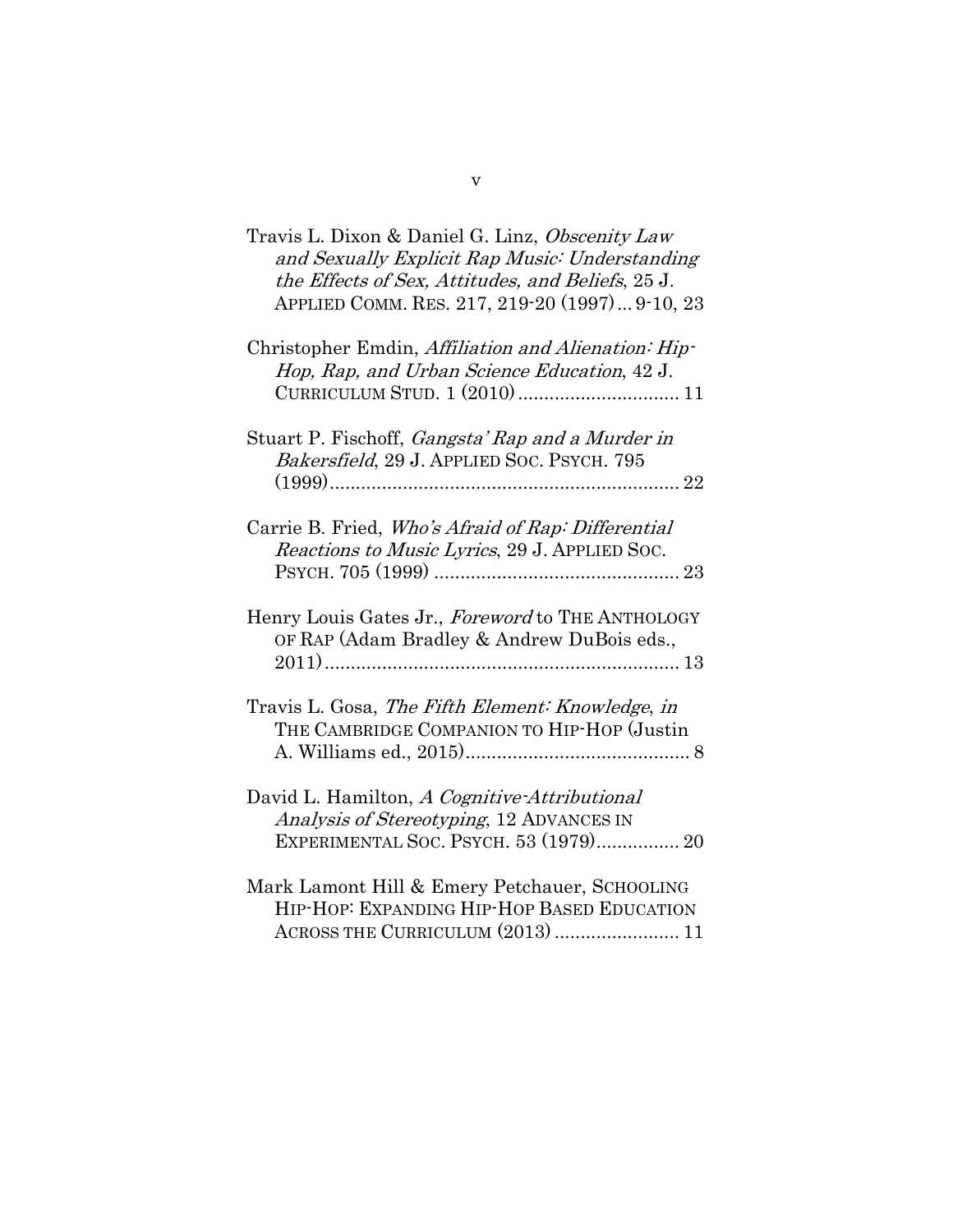| Travis L. Dixon & Daniel G. Linz, Obscenity Law<br>and Sexually Explicit Rap Music: Understanding<br>the Effects of Sex, Attitudes, and Beliefs, 25 J.<br>APPLIED COMM. RES. 217, 219-20 (1997) 9-10, 23 |
|----------------------------------------------------------------------------------------------------------------------------------------------------------------------------------------------------------|
| Christopher Emdin, Affiliation and Alienation: Hip-<br>Hop, Rap, and Urban Science Education, 42 J.                                                                                                      |
| Stuart P. Fischoff, <i>Gangsta' Rap and a Murder in</i><br>Bakersfield, 29 J. APPLIED SOC. PSYCH. 795                                                                                                    |
| Carrie B. Fried, Who's Afraid of Rap: Differential<br>Reactions to Music Lyrics, 29 J. APPLIED SOC.                                                                                                      |
| Henry Louis Gates Jr., Foreword to THE ANTHOLOGY<br>OF RAP (Adam Bradley & Andrew DuBois eds.,                                                                                                           |
| Travis L. Gosa, The Fifth Element: Knowledge, in<br>THE CAMBRIDGE COMPANION TO HIP-HOP (Justin                                                                                                           |
| David L. Hamilton, A Cognitive-Attributional<br>Analysis of Stereotyping, 12 ADVANCES IN<br>EXPERIMENTAL SOC. PSYCH. 53 (1979) 20                                                                        |
| Mark Lamont Hill & Emery Petchauer, SCHOOLING<br>HIP-HOP: EXPANDING HIP-HOP BASED EDUCATION<br>ACROSS THE CURRICULUM (2013)  11                                                                          |

v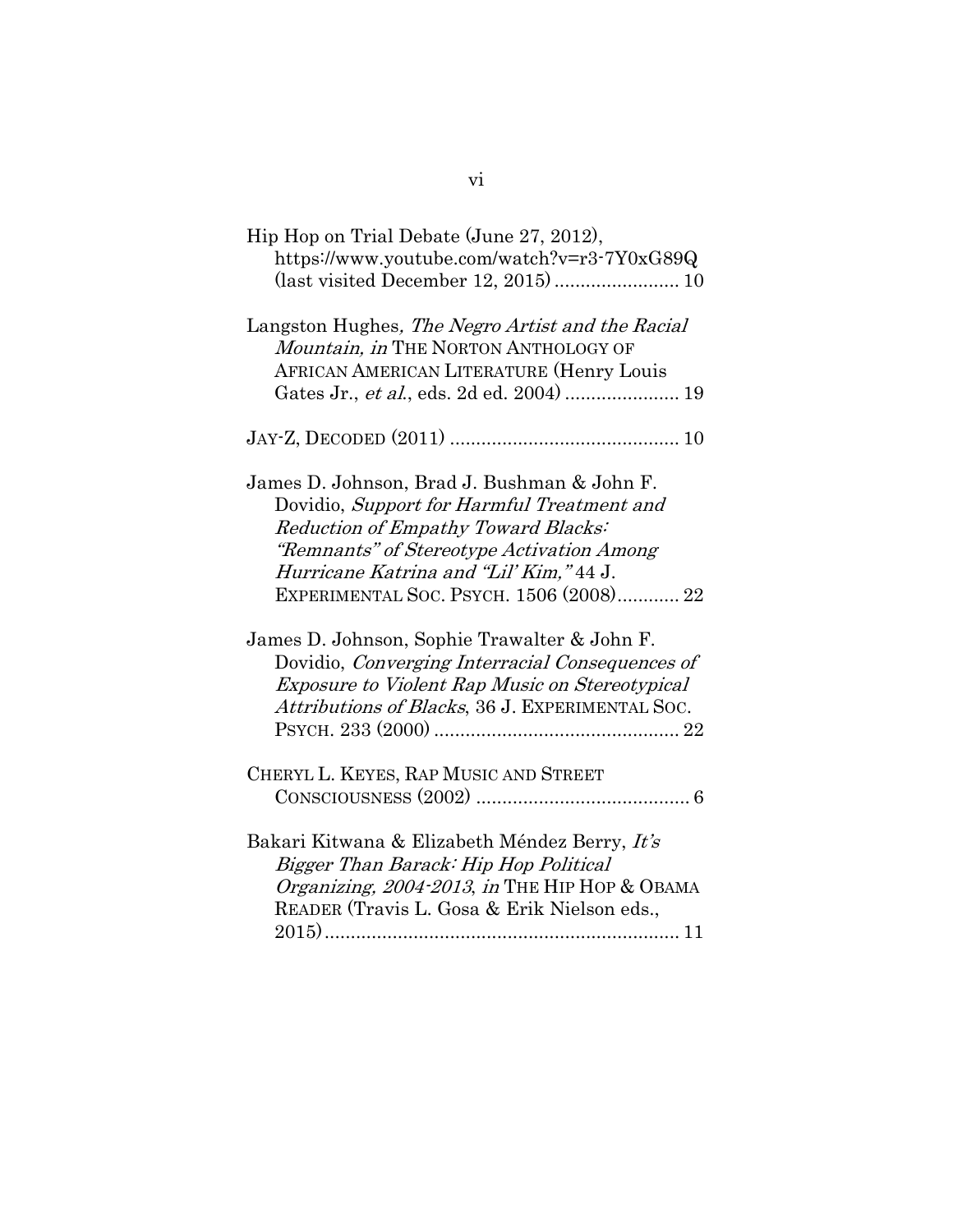| Hip Hop on Trial Debate (June 27, 2012),              |
|-------------------------------------------------------|
| https://www.youtube.com/watch?v=r3-7Y0xG89Q           |
| (last visited December 12, 2015) 10                   |
|                                                       |
| Langston Hughes, The Negro Artist and the Racial      |
| Mountain, in THE NORTON ANTHOLOGY OF                  |
| <b>AFRICAN AMERICAN LITERATURE (Henry Louis</b>       |
| Gates Jr., et al., eds. 2d ed. 2004)  19              |
|                                                       |
|                                                       |
|                                                       |
| James D. Johnson, Brad J. Bushman & John F.           |
| Dovidio, Support for Harmful Treatment and            |
| Reduction of Empathy Toward Blacks:                   |
| "Remnants" of Stereotype Activation Among             |
| Hurricane Katrina and "Lil' Kim," 44 J.               |
| EXPERIMENTAL SOC. PSYCH. 1506 (2008) 22               |
|                                                       |
| James D. Johnson, Sophie Trawalter & John F.          |
| Dovidio, Converging Interracial Consequences of       |
| <i>Exposure to Violent Rap Music on Stereotypical</i> |
| Attributions of Blacks, 36 J. EXPERIMENTAL SOC.       |
|                                                       |
|                                                       |
| CHERYL L. KEYES, RAP MUSIC AND STREET                 |
|                                                       |
|                                                       |
| Bakari Kitwana & Elizabeth Méndez Berry, It's         |
| Bigger Than Barack: Hip Hop Political                 |
| Organizing, 2004-2013, in THE HIP HOP & OBAMA         |
| READER (Travis L. Gosa & Erik Nielson eds.,           |
|                                                       |
|                                                       |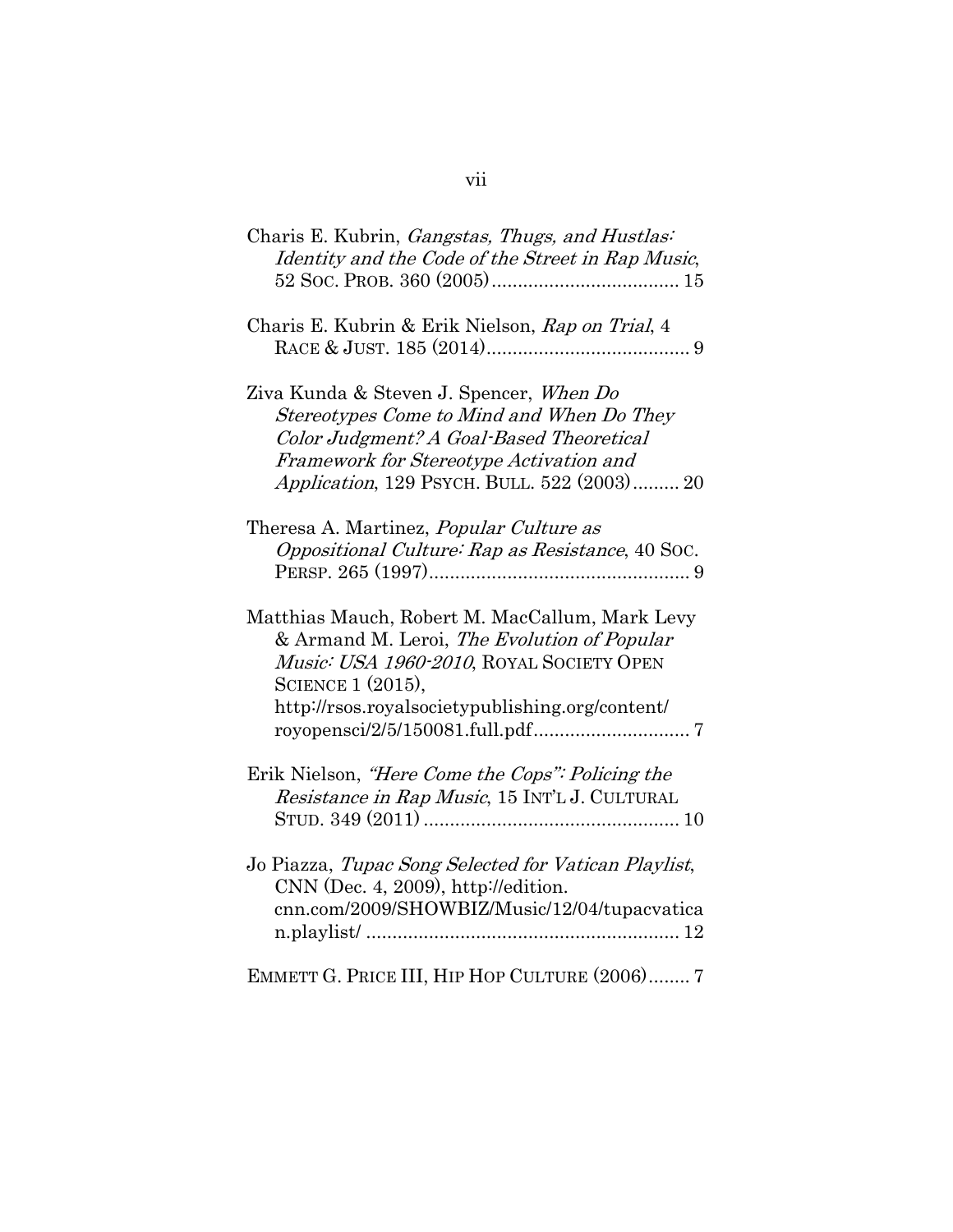| Charis E. Kubrin, Gangstas, Thugs, and Hustlas:<br>Identity and the Code of the Street in Rap Music,                                                                                                                       |
|----------------------------------------------------------------------------------------------------------------------------------------------------------------------------------------------------------------------------|
| Charis E. Kubrin & Erik Nielson, Rap on Trial, 4                                                                                                                                                                           |
| Ziva Kunda & Steven J. Spencer, When Do<br>Stereotypes Come to Mind and When Do They<br>Color Judgment? A Goal-Based Theoretical<br>Framework for Stereotype Activation and<br>Application, 129 PSYCH. BULL. 522 (2003) 20 |
| Theresa A. Martinez, <i>Popular Culture as</i><br>Oppositional Culture: Rap as Resistance, 40 Soc.                                                                                                                         |
| Matthias Mauch, Robert M. MacCallum, Mark Levy<br>& Armand M. Leroi, The Evolution of Popular<br>Music: USA 1960-2010, ROYAL SOCIETY OPEN<br>SCIENCE 1 (2015),<br>http://rsos.royalsocietypublishing.org/content/          |
| Erik Nielson, "Here Come the Cops": Policing the<br>Resistance in Rap Music, 15 INT'L J. CULTURAL                                                                                                                          |
| Jo Piazza, Tupac Song Selected for Vatican Playlist,<br>$CNN$ (Dec. 4, 2009), http://edition.<br>cnn.com/2009/SHOWBIZ/Music/12/04/tupacvatica                                                                              |
| EMMETT G. PRICE III, HIP HOP CULTURE (2006) 7                                                                                                                                                                              |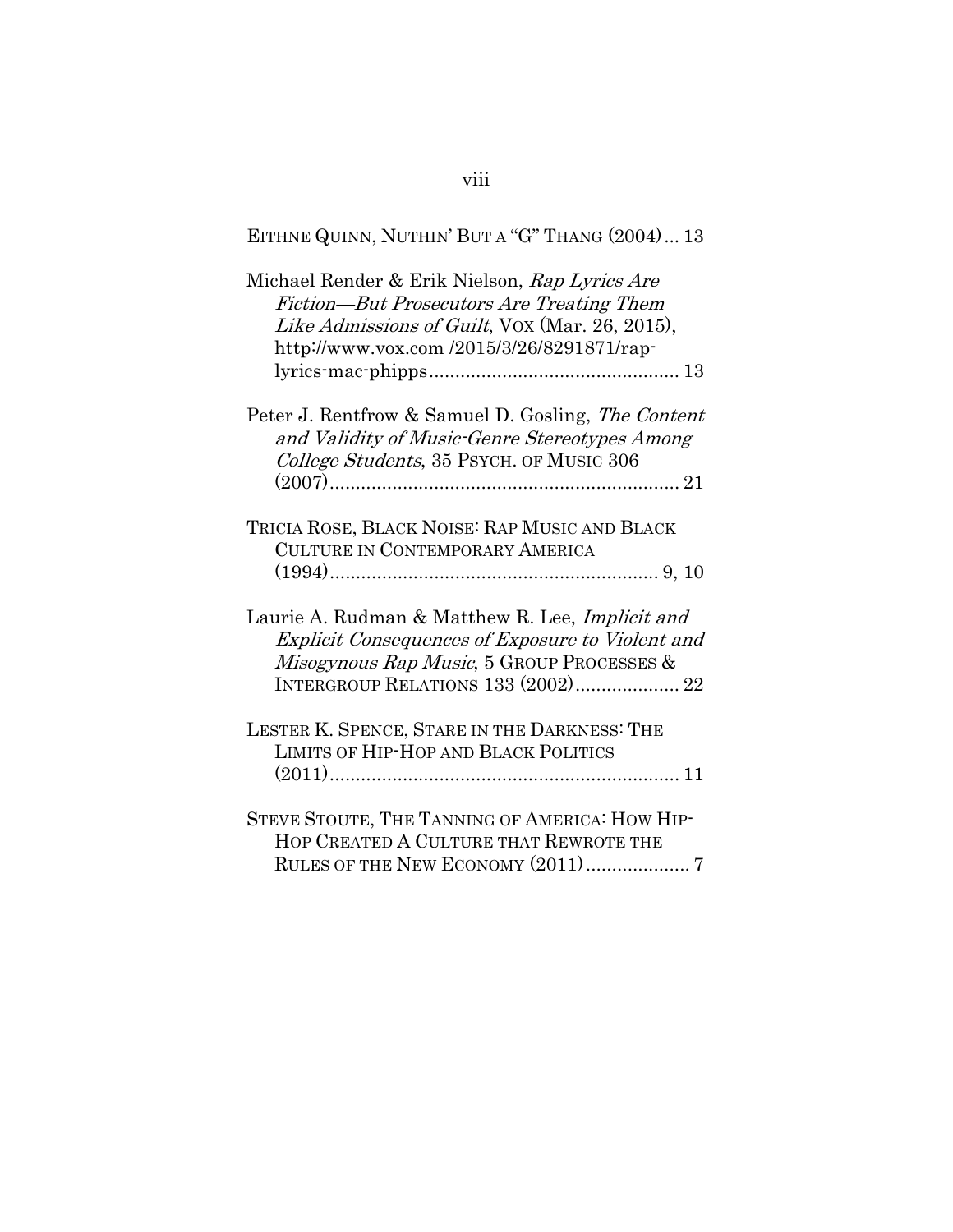# EITHNE QUINN, NUTHIN' BUT A "G" THANG (2004) ... 13

| Michael Render & Erik Nielson, Rap Lyrics Are<br>Fiction—But Prosecutors Are Treating Them<br>Like Admissions of Guilt, VOX (Mar. 26, 2015),<br>http://www.vox.com/2015/3/26/8291871/rap-            |
|------------------------------------------------------------------------------------------------------------------------------------------------------------------------------------------------------|
|                                                                                                                                                                                                      |
| Peter J. Rentfrow & Samuel D. Gosling, The Content<br>and Validity of Music-Genre Stereotypes Among<br>College Students, 35 PSYCH. OF MUSIC 306                                                      |
| TRICIA ROSE, BLACK NOISE: RAP MUSIC AND BLACK<br>CULTURE IN CONTEMPORARY AMERICA                                                                                                                     |
| Laurie A. Rudman & Matthew R. Lee, Implicit and<br><b>Explicit Consequences of Exposure to Violent and</b><br>Misogynous Rap Music, 5 GROUP PROCESSES &<br><b>INTERGROUP RELATIONS 133 (2002) 22</b> |
| LESTER K. SPENCE, STARE IN THE DARKNESS: THE<br>LIMITS OF HIP-HOP AND BLACK POLITICS                                                                                                                 |
| STEVE STOUTE, THE TANNING OF AMERICA: HOW HIP-<br>HOP CREATED A CULTURE THAT REWROTE THE<br>RULES OF THE NEW ECONOMY (2011) 7                                                                        |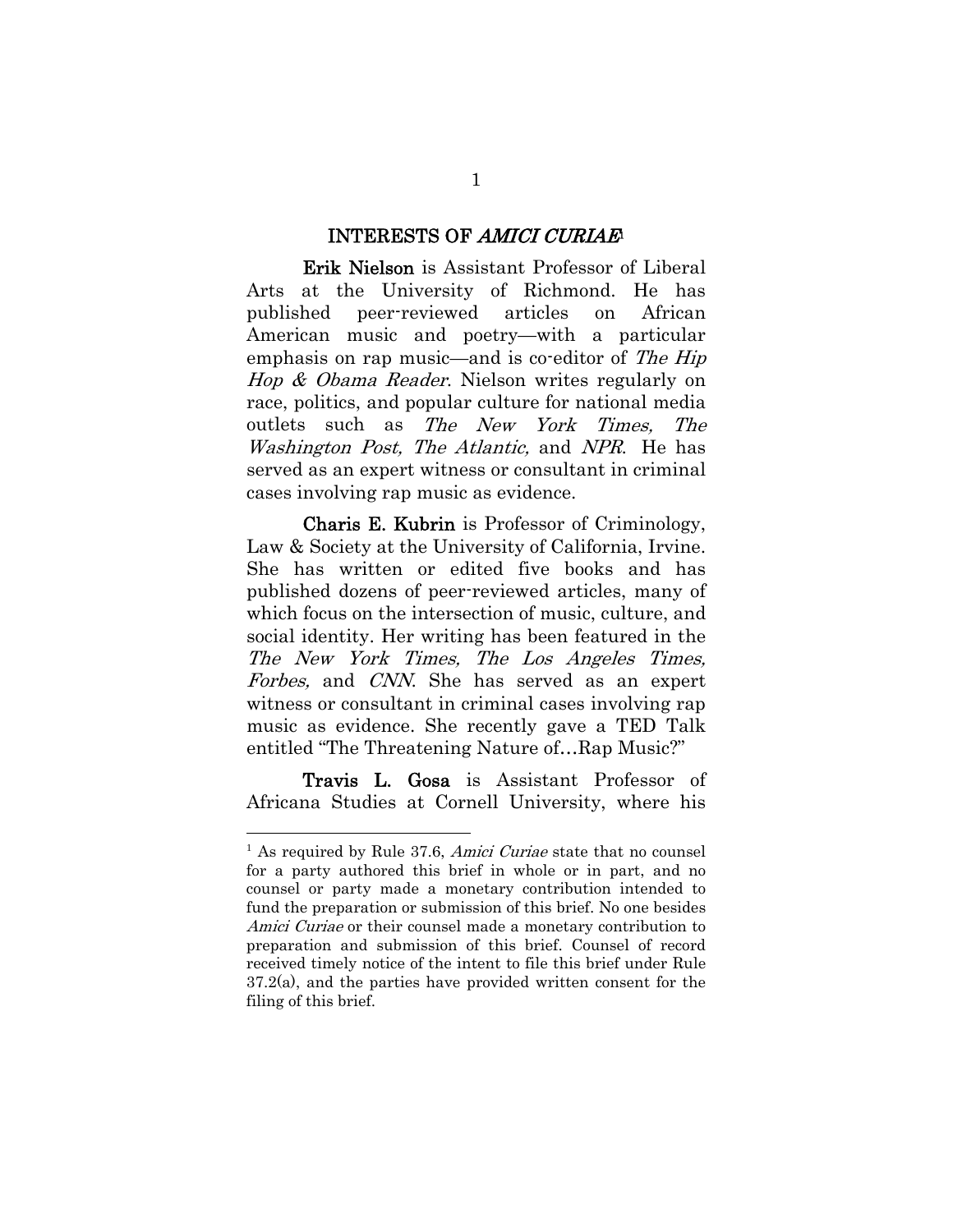#### INTERESTS OF AMICI CURIAE

Erik Nielson is Assistant Professor of Liberal Arts at the University of Richmond. He has published peer-reviewed articles on African American music and poetry—with a particular emphasis on rap music—and is co-editor of The Hip Hop & Obama Reader. Nielson writes regularly on race, politics, and popular culture for national media outlets such as The New York Times, The Washington Post, The Atlantic, and NPR. He has served as an expert witness or consultant in criminal cases involving rap music as evidence.

Charis E. Kubrin is Professor of Criminology, Law & Society at the University of California, Irvine. She has written or edited five books and has published dozens of peer-reviewed articles, many of which focus on the intersection of music, culture, and social identity. Her writing has been featured in the The New York Times, The Los Angeles Times, Forbes, and CNN. She has served as an expert witness or consultant in criminal cases involving rap music as evidence. She recently gave a TED Talk entitled "The Threatening Nature of…Rap Music?"

Travis L. Gosa is Assistant Professor of Africana Studies at Cornell University, where his

 $\overline{a}$ 

 $<sup>1</sup>$  As required by Rule 37.6, *Amici Curiae* state that no counsel</sup> for a party authored this brief in whole or in part, and no counsel or party made a monetary contribution intended to fund the preparation or submission of this brief. No one besides Amici Curiae or their counsel made a monetary contribution to preparation and submission of this brief. Counsel of record received timely notice of the intent to file this brief under Rule 37.2(a), and the parties have provided written consent for the filing of this brief.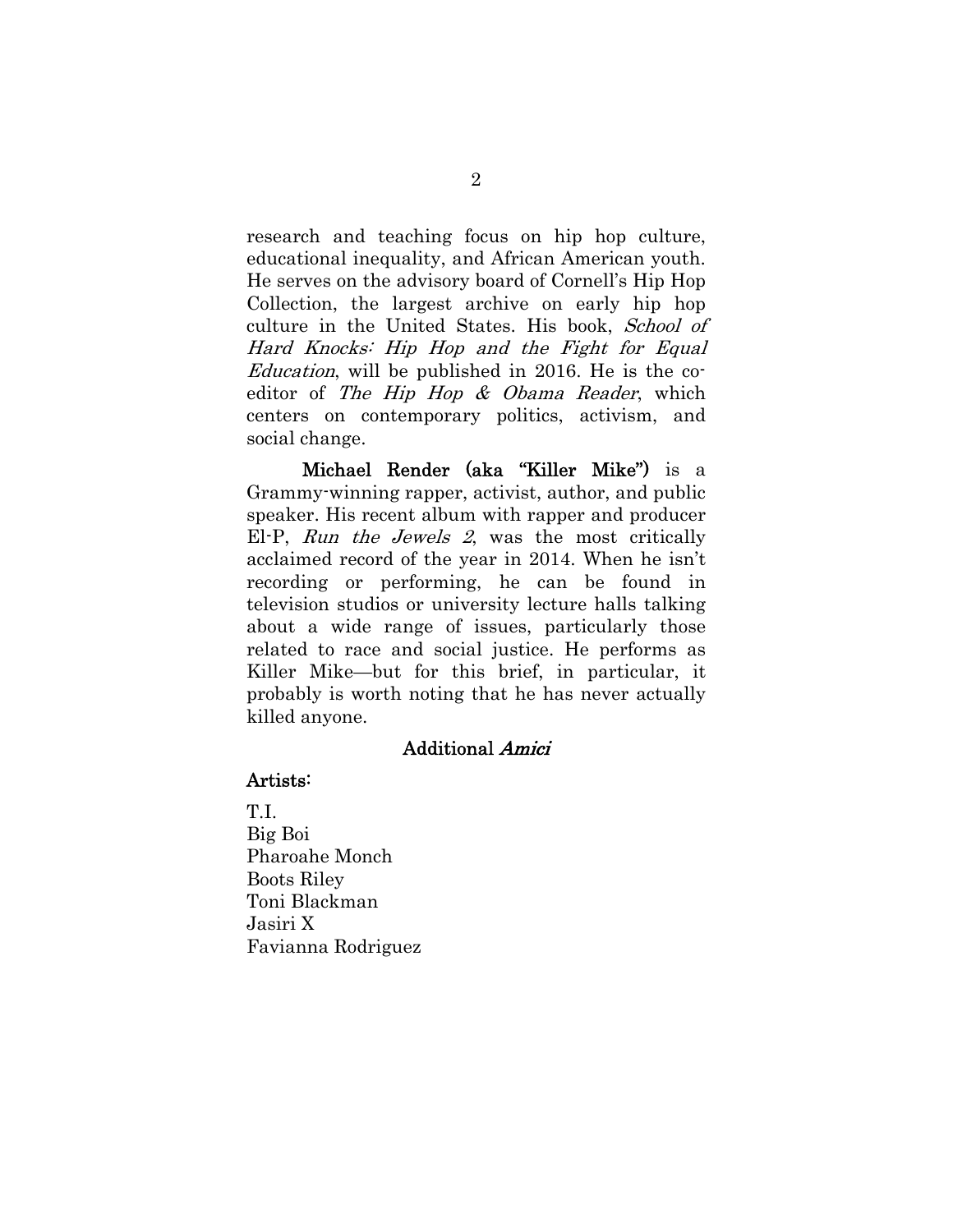research and teaching focus on hip hop culture, educational inequality, and African American youth. He serves on the advisory board of Cornell's Hip Hop Collection, the largest archive on early hip hop culture in the United States. His book, School of Hard Knocks: Hip Hop and the Fight for Equal Education, will be published in 2016. He is the coeditor of The Hip Hop & Obama Reader, which centers on contemporary politics, activism, and social change.

Michael Render (aka "Killer Mike") is a Grammy-winning rapper, activist, author, and public speaker. His recent album with rapper and producer El-P, Run the Jewels 2, was the most critically acclaimed record of the year in 2014. When he isn't recording or performing, he can be found in television studios or university lecture halls talking about a wide range of issues, particularly those related to race and social justice. He performs as Killer Mike—but for this brief, in particular, it probably is worth noting that he has never actually killed anyone.

#### Additional Amici

#### Artists:

T.I. Big Boi Pharoahe Monch Boots Riley Toni Blackman Jasiri X Favianna Rodriguez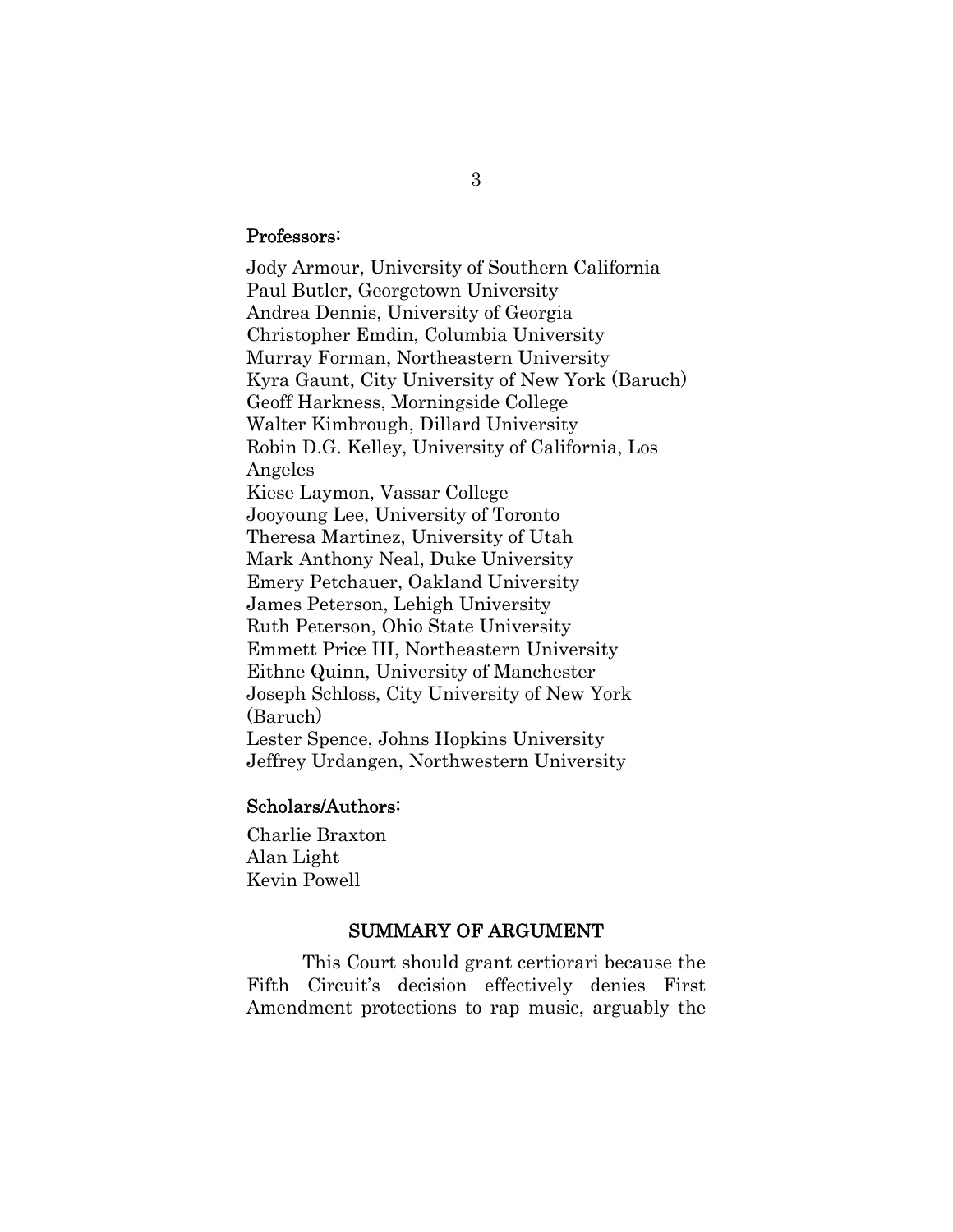#### Professors:

Jody Armour, University of Southern California Paul Butler, Georgetown University Andrea Dennis, University of Georgia Christopher Emdin, Columbia University Murray Forman, Northeastern University Kyra Gaunt, City University of New York (Baruch) Geoff Harkness, Morningside College Walter Kimbrough, Dillard University Robin D.G. Kelley, University of California, Los Angeles Kiese Laymon, Vassar College Jooyoung Lee, University of Toronto Theresa Martinez, University of Utah Mark Anthony Neal, Duke University Emery Petchauer, Oakland University James Peterson, Lehigh University Ruth Peterson, Ohio State University Emmett Price III, Northeastern University Eithne Quinn, University of Manchester Joseph Schloss, City University of New York (Baruch) Lester Spence, Johns Hopkins University Jeffrey Urdangen, Northwestern University

### Scholars/Authors:

Charlie Braxton Alan Light Kevin Powell

#### SUMMARY OF ARGUMENT

This Court should grant certiorari because the Fifth Circuit's decision effectively denies First Amendment protections to rap music, arguably the

3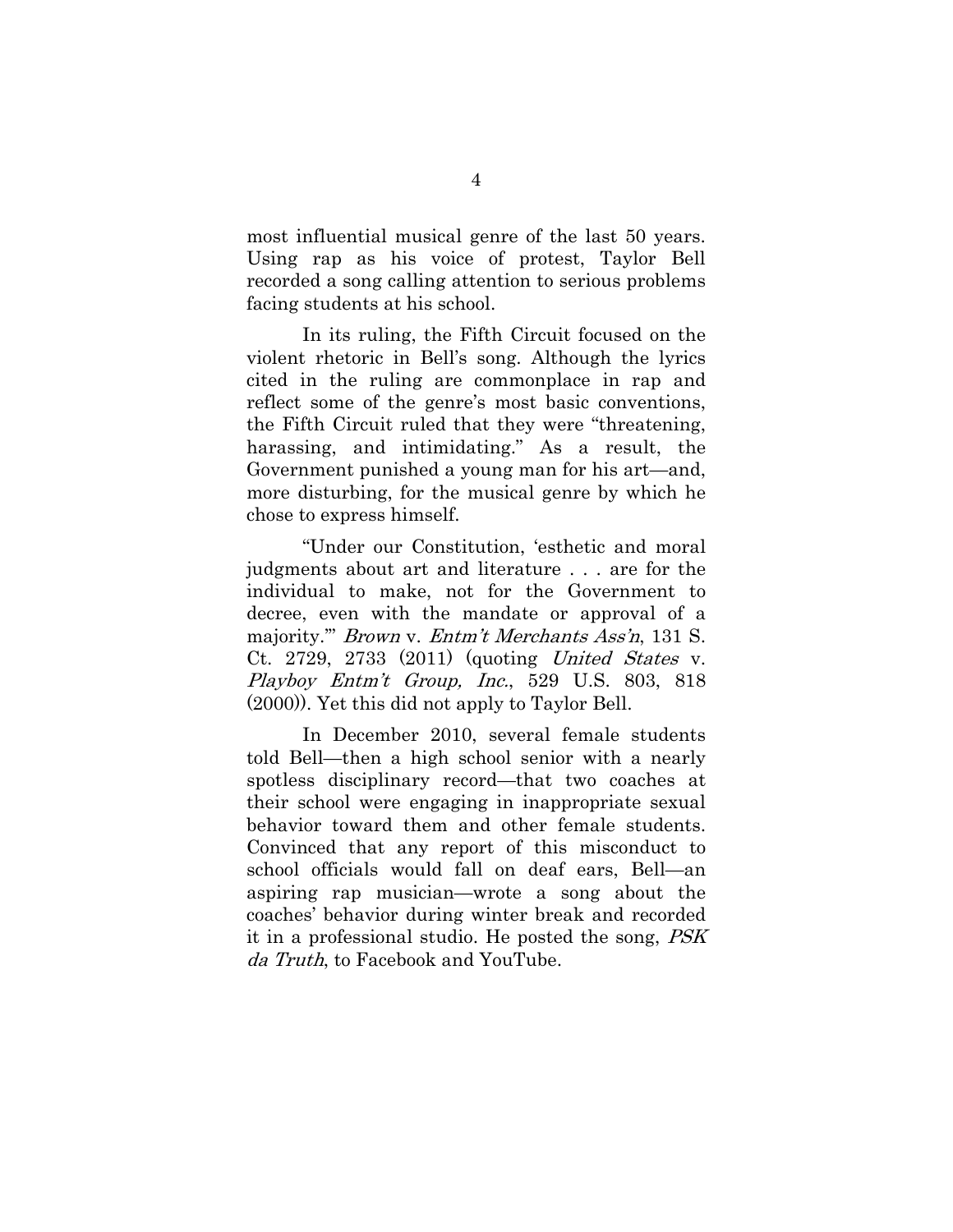most influential musical genre of the last 50 years. Using rap as his voice of protest, Taylor Bell recorded a song calling attention to serious problems facing students at his school.

 In its ruling, the Fifth Circuit focused on the violent rhetoric in Bell's song. Although the lyrics cited in the ruling are commonplace in rap and reflect some of the genre's most basic conventions, the Fifth Circuit ruled that they were "threatening, harassing, and intimidating." As a result, the Government punished a young man for his art—and, more disturbing, for the musical genre by which he chose to express himself.

"Under our Constitution, 'esthetic and moral judgments about art and literature . . . are for the individual to make, not for the Government to decree, even with the mandate or approval of a majority." *Brown v. Entm't Merchants Ass'n*, 131 S. Ct. 2729, 2733 (2011) (quoting United States v. Playboy Entm't Group, Inc., 529 U.S. 803, 818 (2000)). Yet this did not apply to Taylor Bell.

In December 2010, several female students told Bell—then a high school senior with a nearly spotless disciplinary record—that two coaches at their school were engaging in inappropriate sexual behavior toward them and other female students. Convinced that any report of this misconduct to school officials would fall on deaf ears, Bell—an aspiring rap musician—wrote a song about the coaches' behavior during winter break and recorded it in a professional studio. He posted the song, PSK da Truth, to Facebook and YouTube.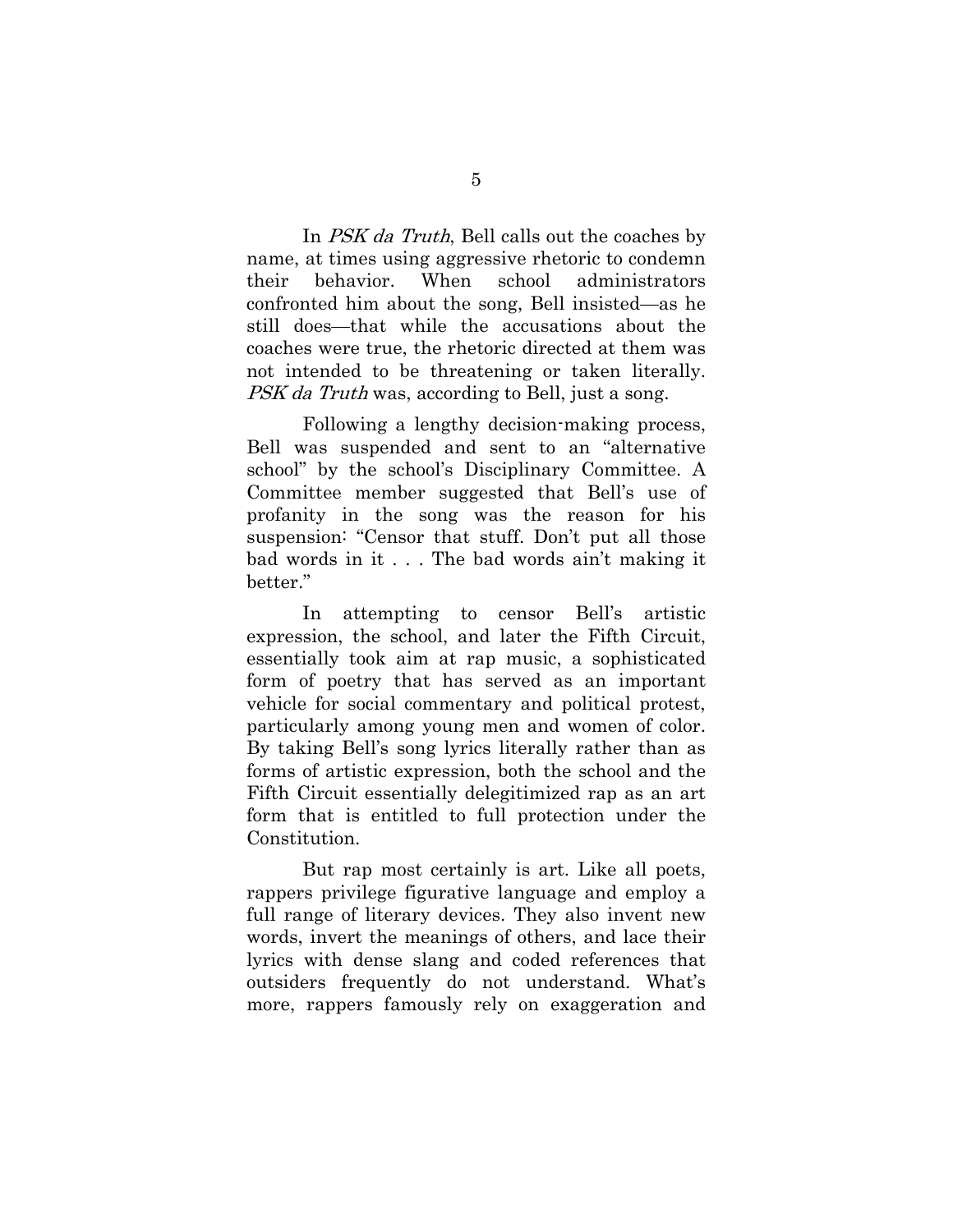In PSK da Truth, Bell calls out the coaches by name, at times using aggressive rhetoric to condemn their behavior. When school administrators confronted him about the song, Bell insisted—as he still does—that while the accusations about the coaches were true, the rhetoric directed at them was not intended to be threatening or taken literally. PSK da Truth was, according to Bell, just a song.

Following a lengthy decision-making process, Bell was suspended and sent to an "alternative school" by the school's Disciplinary Committee. A Committee member suggested that Bell's use of profanity in the song was the reason for his suspension: "Censor that stuff. Don't put all those bad words in it . . . The bad words ain't making it better."

In attempting to censor Bell's artistic expression, the school, and later the Fifth Circuit, essentially took aim at rap music, a sophisticated form of poetry that has served as an important vehicle for social commentary and political protest, particularly among young men and women of color. By taking Bell's song lyrics literally rather than as forms of artistic expression, both the school and the Fifth Circuit essentially delegitimized rap as an art form that is entitled to full protection under the Constitution.

But rap most certainly is art. Like all poets, rappers privilege figurative language and employ a full range of literary devices. They also invent new words, invert the meanings of others, and lace their lyrics with dense slang and coded references that outsiders frequently do not understand. What's more, rappers famously rely on exaggeration and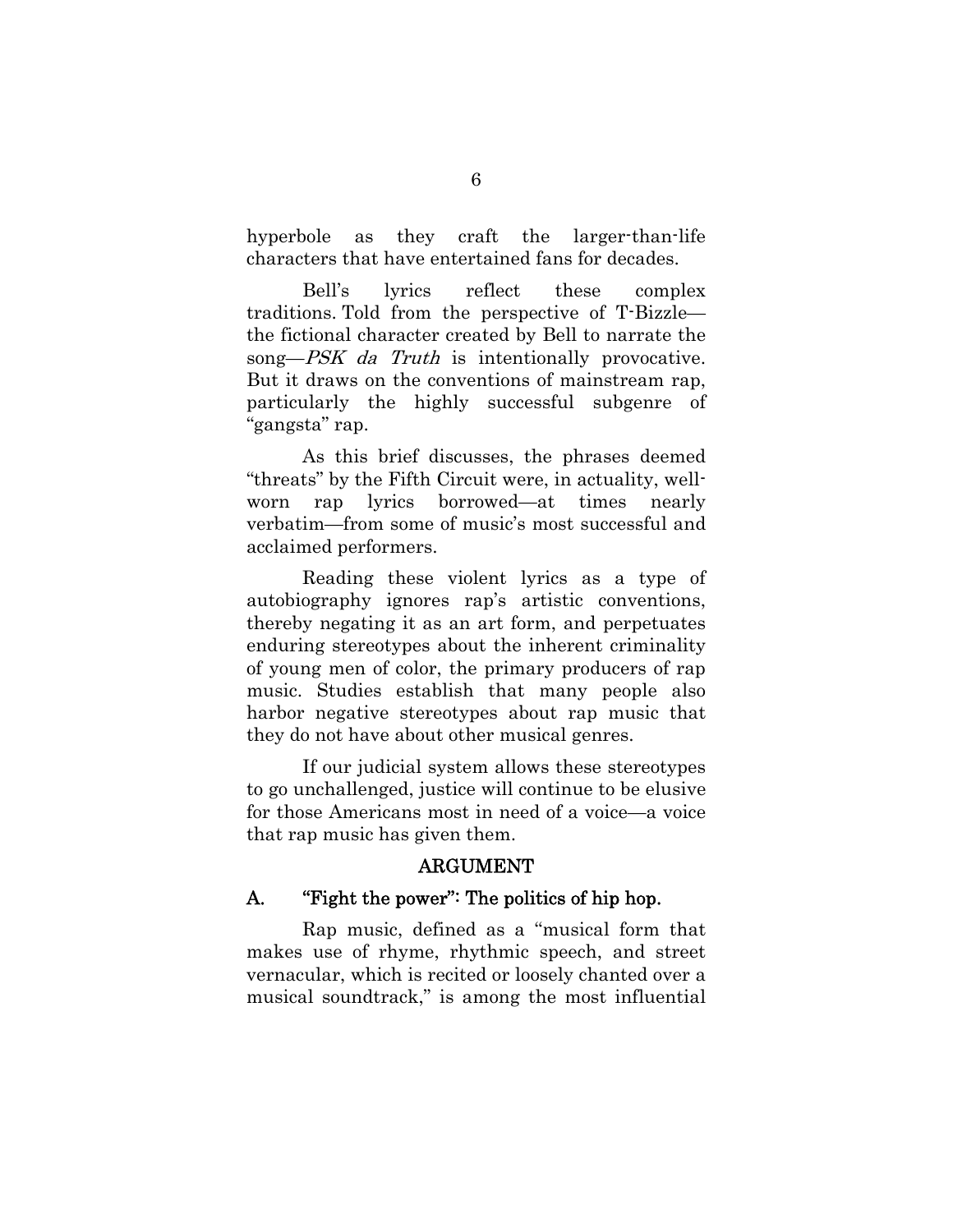hyperbole as they craft the larger-than-life characters that have entertained fans for decades.

Bell's lyrics reflect these complex traditions. Told from the perspective of T-Bizzle the fictional character created by Bell to narrate the song—*PSK da Truth* is intentionally provocative. But it draws on the conventions of mainstream rap, particularly the highly successful subgenre of "gangsta" rap.

As this brief discusses, the phrases deemed "threats" by the Fifth Circuit were, in actuality, wellworn rap lyrics borrowed—at times nearly verbatim—from some of music's most successful and acclaimed performers.

Reading these violent lyrics as a type of autobiography ignores rap's artistic conventions, thereby negating it as an art form, and perpetuates enduring stereotypes about the inherent criminality of young men of color, the primary producers of rap music. Studies establish that many people also harbor negative stereotypes about rap music that they do not have about other musical genres.

If our judicial system allows these stereotypes to go unchallenged, justice will continue to be elusive for those Americans most in need of a voice—a voice that rap music has given them.

### ARGUMENT

## A. "Fight the power": The politics of hip hop.

Rap music, defined as a ''musical form that makes use of rhyme, rhythmic speech, and street vernacular, which is recited or loosely chanted over a musical soundtrack," is among the most influential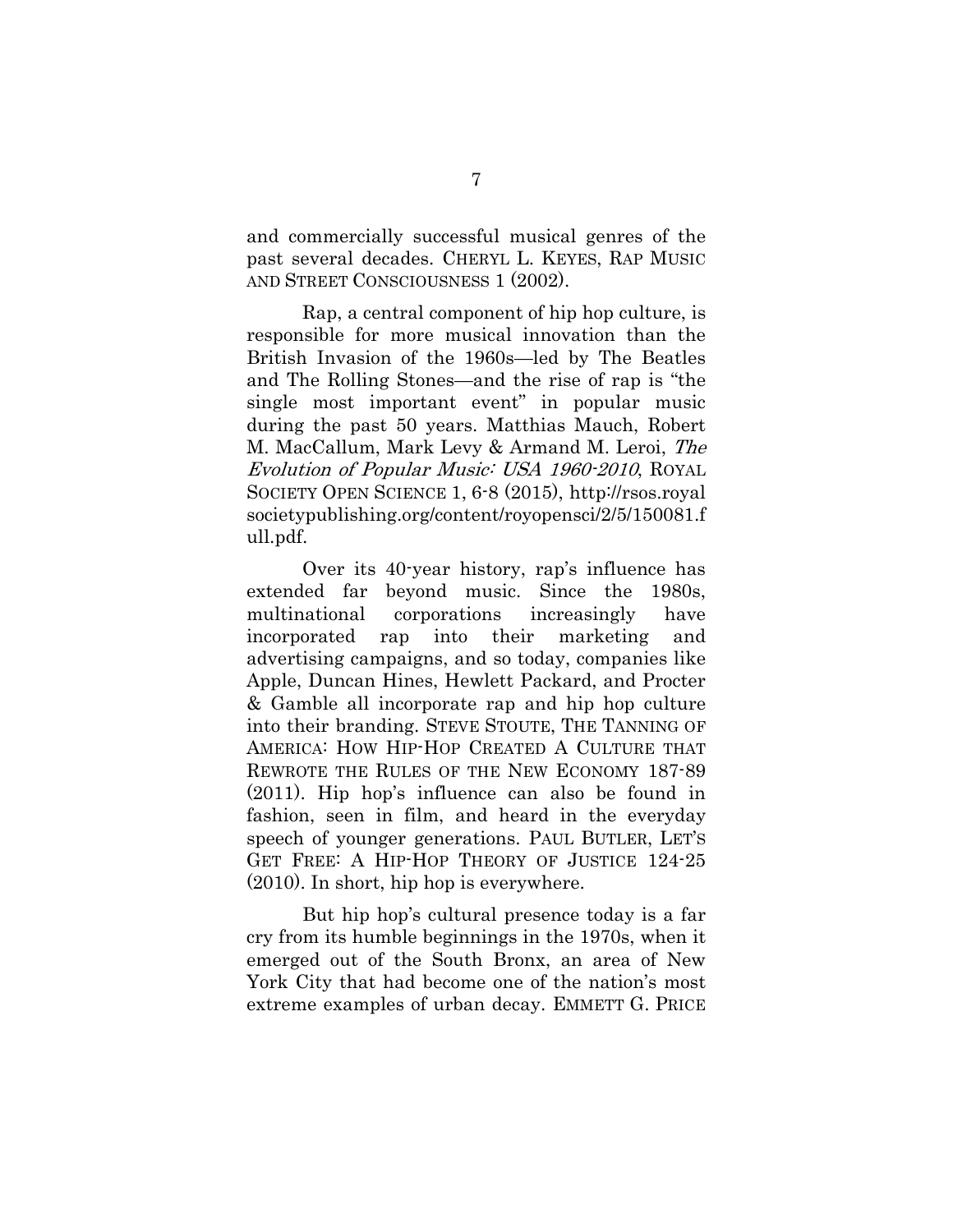and commercially successful musical genres of the past several decades. CHERYL L. KEYES, RAP MUSIC AND STREET CONSCIOUSNESS 1 (2002).

 Rap, a central component of hip hop culture, is responsible for more musical innovation than the British Invasion of the 1960s—led by The Beatles and The Rolling Stones—and the rise of rap is "the single most important event" in popular music during the past 50 years. Matthias Mauch, Robert M. MacCallum, Mark Levy & Armand M. Leroi, The Evolution of Popular Music: USA 1960-2010, ROYAL SOCIETY OPEN SCIENCE 1, 6-8 (2015), http://rsos.royal societypublishing.org/content/royopensci/2/5/150081.f ull.pdf.

Over its 40-year history, rap's influence has extended far beyond music. Since the 1980s, multinational corporations increasingly have incorporated rap into their marketing and advertising campaigns, and so today, companies like Apple, Duncan Hines, Hewlett Packard, and Procter & Gamble all incorporate rap and hip hop culture into their branding. STEVE STOUTE, THE TANNING OF AMERICA: HOW HIP-HOP CREATED A CULTURE THAT REWROTE THE RULES OF THE NEW ECONOMY 187-89 (2011). Hip hop's influence can also be found in fashion, seen in film, and heard in the everyday speech of younger generations. PAUL BUTLER, LET'S GET FREE: A HIP-HOP THEORY OF JUSTICE 124-25 (2010). In short, hip hop is everywhere.

But hip hop's cultural presence today is a far cry from its humble beginnings in the 1970s, when it emerged out of the South Bronx, an area of New York City that had become one of the nation's most extreme examples of urban decay. EMMETT G. PRICE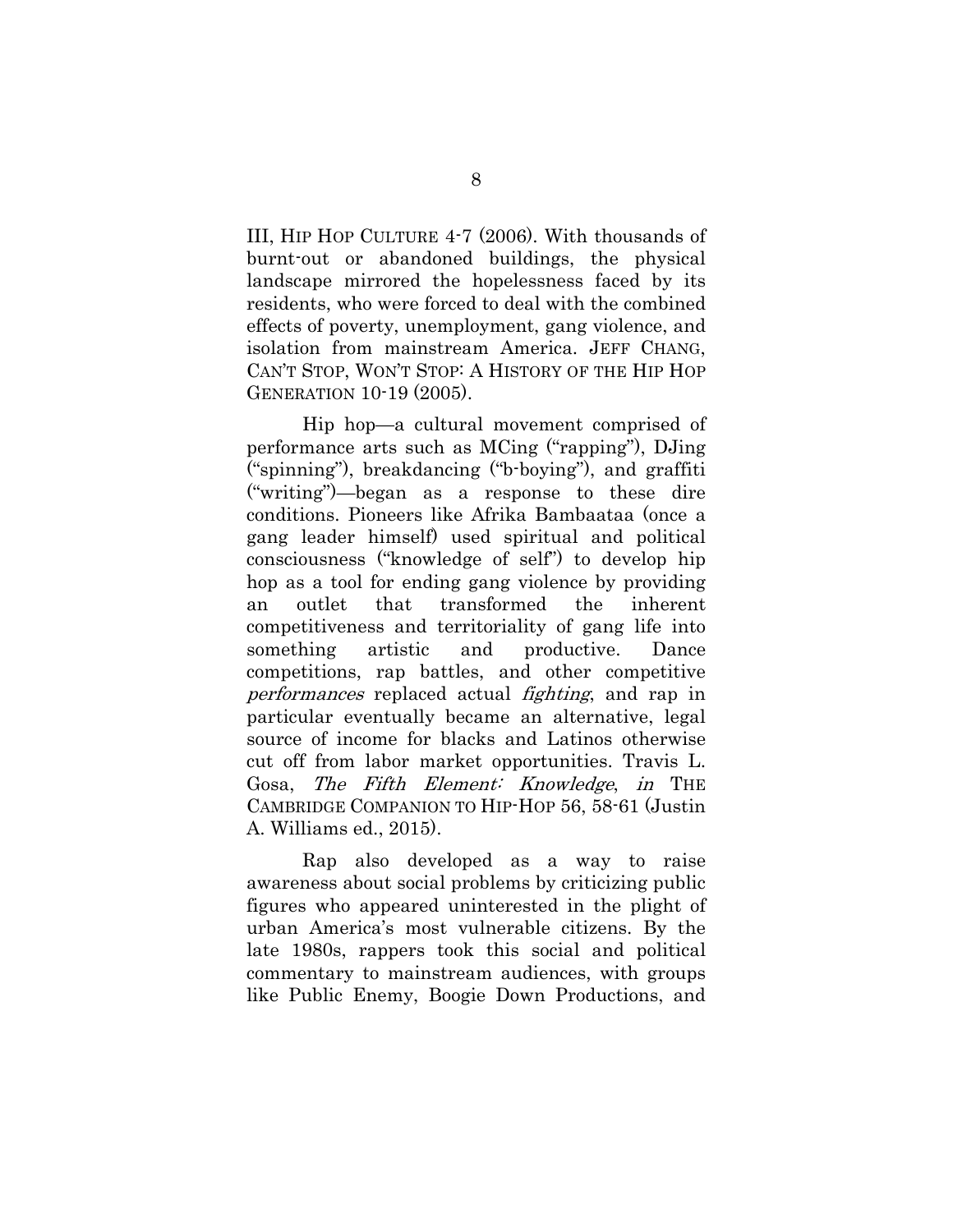III, HIP HOP CULTURE 4-7 (2006). With thousands of burnt-out or abandoned buildings, the physical landscape mirrored the hopelessness faced by its residents, who were forced to deal with the combined effects of poverty, unemployment, gang violence, and isolation from mainstream America. JEFF CHANG, CAN'T STOP, WON'T STOP: A HISTORY OF THE HIP HOP GENERATION 10-19 (2005).

Hip hop—a cultural movement comprised of performance arts such as MCing ("rapping"), DJing ("spinning"), breakdancing ("b-boying"), and graffiti ("writing")—began as a response to these dire conditions. Pioneers like Afrika Bambaataa (once a gang leader himself) used spiritual and political consciousness ("knowledge of self") to develop hip hop as a tool for ending gang violence by providing an outlet that transformed the inherent competitiveness and territoriality of gang life into something artistic and productive. Dance competitions, rap battles, and other competitive performances replaced actual fighting, and rap in particular eventually became an alternative, legal source of income for blacks and Latinos otherwise cut off from labor market opportunities. Travis L. Gosa, The Fifth Element: Knowledge, in THE CAMBRIDGE COMPANION TO HIP-HOP 56, 58-61 (Justin A. Williams ed., 2015).

Rap also developed as a way to raise awareness about social problems by criticizing public figures who appeared uninterested in the plight of urban America's most vulnerable citizens. By the late 1980s, rappers took this social and political commentary to mainstream audiences, with groups like Public Enemy, Boogie Down Productions, and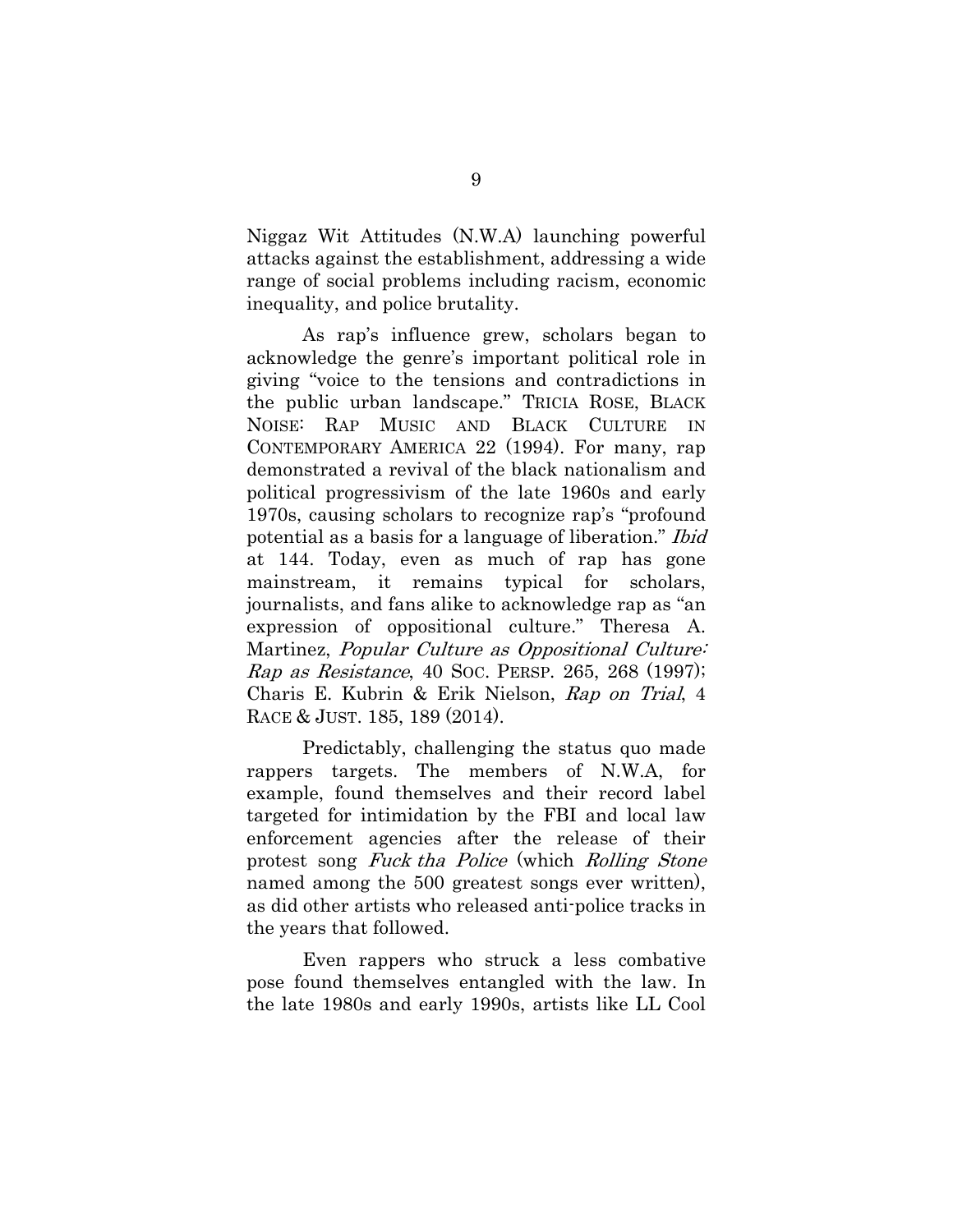Niggaz Wit Attitudes (N.W.A) launching powerful attacks against the establishment, addressing a wide range of social problems including racism, economic inequality, and police brutality.

As rap's influence grew, scholars began to acknowledge the genre's important political role in giving "voice to the tensions and contradictions in the public urban landscape." TRICIA ROSE, BLACK NOISE: RAP MUSIC AND BLACK CULTURE IN CONTEMPORARY AMERICA 22 (1994). For many, rap demonstrated a revival of the black nationalism and political progressivism of the late 1960s and early 1970s, causing scholars to recognize rap's "profound potential as a basis for a language of liberation." Ibid at 144. Today, even as much of rap has gone mainstream, it remains typical for scholars, journalists, and fans alike to acknowledge rap as "an expression of oppositional culture." Theresa A. Martinez, *Popular Culture as Oppositional Culture*: Rap as Resistance, 40 SOC. PERSP. 265, 268 (1997); Charis E. Kubrin & Erik Nielson, Rap on Trial, 4 RACE & JUST. 185, 189 (2014).

Predictably, challenging the status quo made rappers targets. The members of N.W.A, for example, found themselves and their record label targeted for intimidation by the FBI and local law enforcement agencies after the release of their protest song Fuck tha Police (which Rolling Stone named among the 500 greatest songs ever written), as did other artists who released anti-police tracks in the years that followed.

Even rappers who struck a less combative pose found themselves entangled with the law. In the late 1980s and early 1990s, artists like LL Cool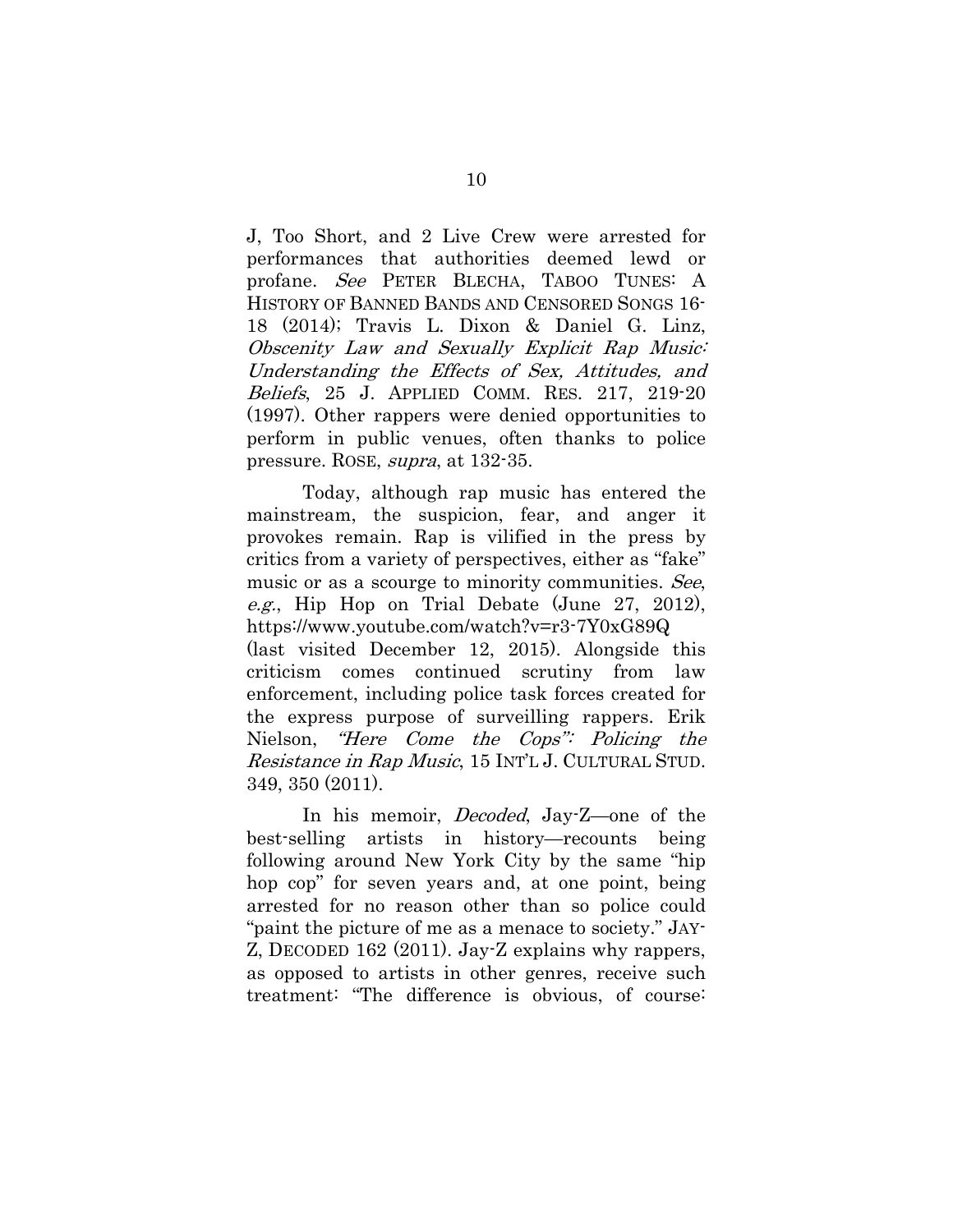J, Too Short, and 2 Live Crew were arrested for performances that authorities deemed lewd or profane. See PETER BLECHA, TABOO TUNES: A HISTORY OF BANNED BANDS AND CENSORED SONGS 16- 18 (2014); Travis L. Dixon & Daniel G. Linz, Obscenity Law and Sexually Explicit Rap Music: Understanding the Effects of Sex, Attitudes, and Beliefs, 25 J. APPLIED COMM. RES. 217, 219-20 (1997). Other rappers were denied opportunities to perform in public venues, often thanks to police pressure. ROSE, supra, at 132-35.

Today, although rap music has entered the mainstream, the suspicion, fear, and anger it provokes remain. Rap is vilified in the press by critics from a variety of perspectives, either as "fake" music or as a scourge to minority communities. See, e.g., Hip Hop on Trial Debate (June 27, 2012), https://www.youtube.com/watch?v=r3-7Y0xG89Q (last visited December 12, 2015). Alongside this criticism comes continued scrutiny from law enforcement, including police task forces created for the express purpose of surveilling rappers. Erik Nielson, "Here Come the Cops": Policing the Resistance in Rap Music, 15 INT'L J. CULTURAL STUD. 349, 350 (2011).

In his memoir, *Decoded*, Jay-Z—one of the best-selling artists in history—recounts being following around New York City by the same "hip hop cop" for seven years and, at one point, being arrested for no reason other than so police could "paint the picture of me as a menace to society." JAY-Z, DECODED 162 (2011). Jay-Z explains why rappers, as opposed to artists in other genres, receive such treatment: "The difference is obvious, of course: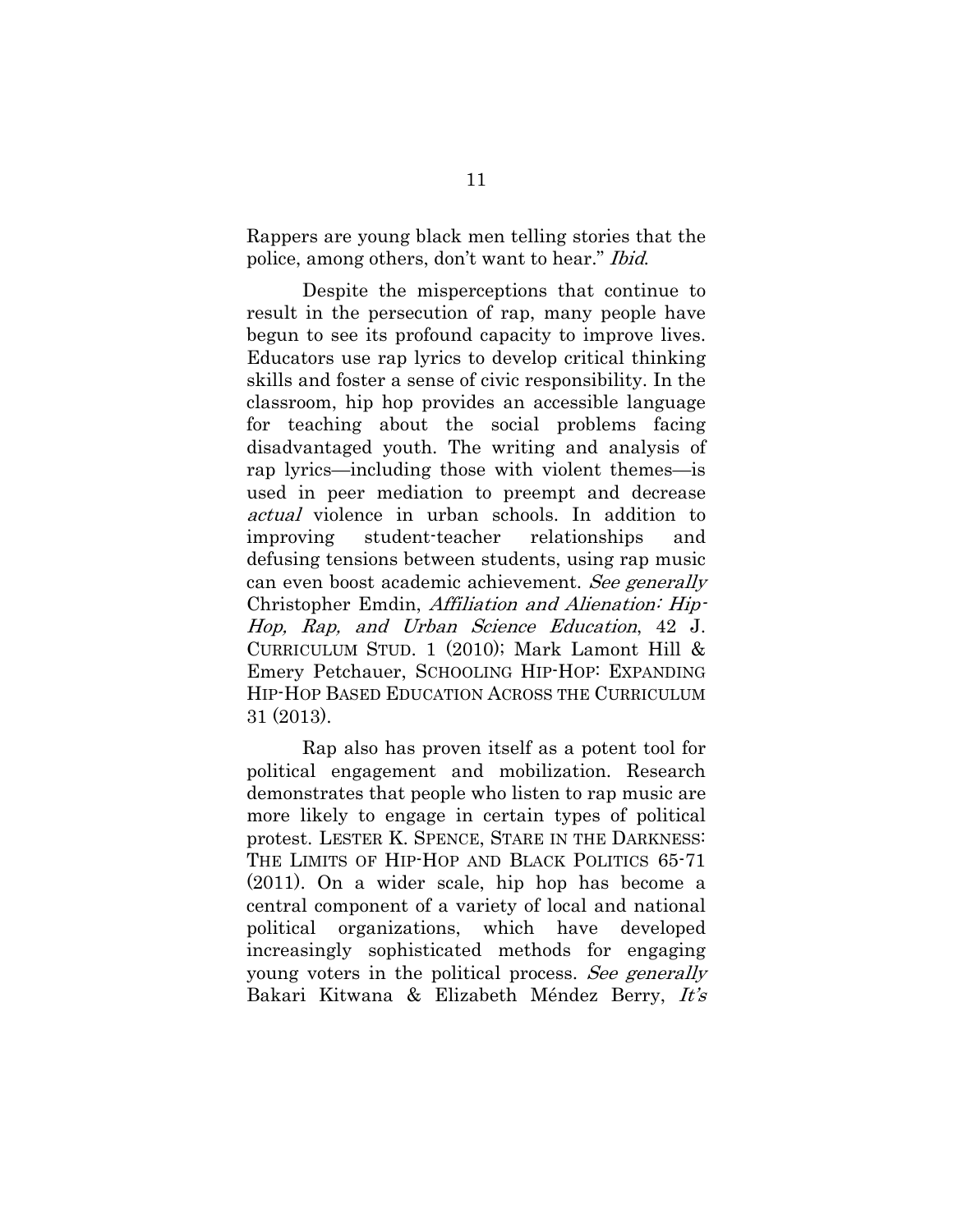Rappers are young black men telling stories that the police, among others, don't want to hear." Ibid.

Despite the misperceptions that continue to result in the persecution of rap, many people have begun to see its profound capacity to improve lives. Educators use rap lyrics to develop critical thinking skills and foster a sense of civic responsibility. In the classroom, hip hop provides an accessible language for teaching about the social problems facing disadvantaged youth. The writing and analysis of rap lyrics—including those with violent themes—is used in peer mediation to preempt and decrease actual violence in urban schools. In addition to improving student-teacher relationships and defusing tensions between students, using rap music can even boost academic achievement. See generally Christopher Emdin, Affiliation and Alienation: Hip-Hop, Rap, and Urban Science Education, 42 J. CURRICULUM STUD. 1 (2010); Mark Lamont Hill & Emery Petchauer, SCHOOLING HIP-HOP: EXPANDING HIP-HOP BASED EDUCATION ACROSS THE CURRICULUM 31 (2013).

Rap also has proven itself as a potent tool for political engagement and mobilization. Research demonstrates that people who listen to rap music are more likely to engage in certain types of political protest. LESTER K. SPENCE, STARE IN THE DARKNESS: THE LIMITS OF HIP-HOP AND BLACK POLITICS 65-71 (2011). On a wider scale, hip hop has become a central component of a variety of local and national political organizations, which have developed increasingly sophisticated methods for engaging young voters in the political process. See generally Bakari Kitwana & Elizabeth Méndez Berry, It's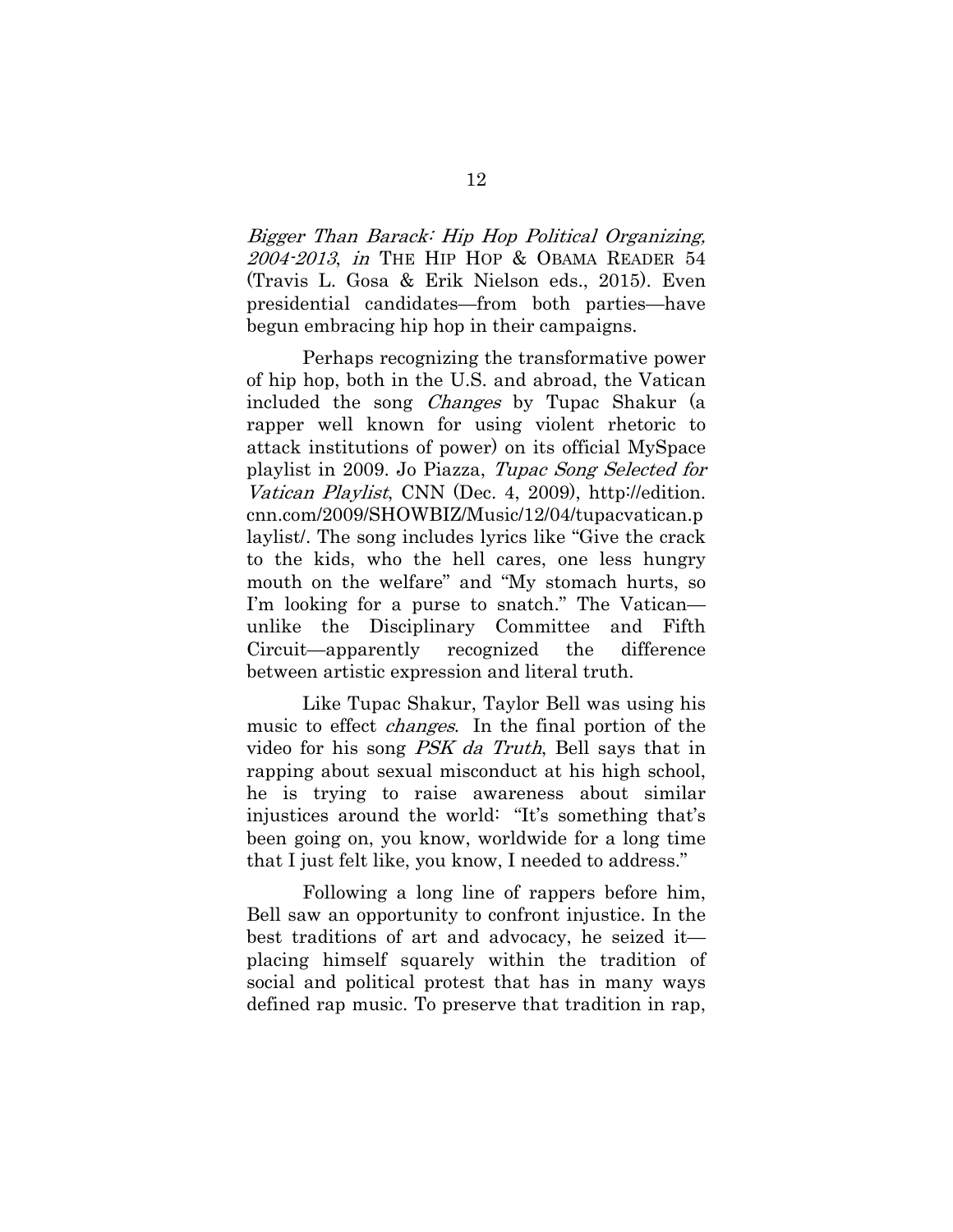Bigger Than Barack: Hip Hop Political Organizing, 2004-2013, in THE HIP HOP & OBAMA READER 54 (Travis L. Gosa & Erik Nielson eds., 2015). Even presidential candidates—from both parties—have begun embracing hip hop in their campaigns.

Perhaps recognizing the transformative power of hip hop, both in the U.S. and abroad, the Vatican included the song Changes by Tupac Shakur (a rapper well known for using violent rhetoric to attack institutions of power) on its official MySpace playlist in 2009. Jo Piazza, Tupac Song Selected for Vatican Playlist, CNN (Dec. 4, 2009), http://edition. cnn.com/2009/SHOWBIZ/Music/12/04/tupacvatican.p laylist/. The song includes lyrics like "Give the crack to the kids, who the hell cares, one less hungry mouth on the welfare" and "My stomach hurts, so I'm looking for a purse to snatch." The Vatican unlike the Disciplinary Committee and Fifth Circuit—apparently recognized the difference between artistic expression and literal truth.

Like Tupac Shakur, Taylor Bell was using his music to effect *changes*. In the final portion of the video for his song PSK da Truth, Bell says that in rapping about sexual misconduct at his high school, he is trying to raise awareness about similar injustices around the world: "It's something that's been going on, you know, worldwide for a long time that I just felt like, you know, I needed to address."

Following a long line of rappers before him, Bell saw an opportunity to confront injustice. In the best traditions of art and advocacy, he seized it placing himself squarely within the tradition of social and political protest that has in many ways defined rap music. To preserve that tradition in rap,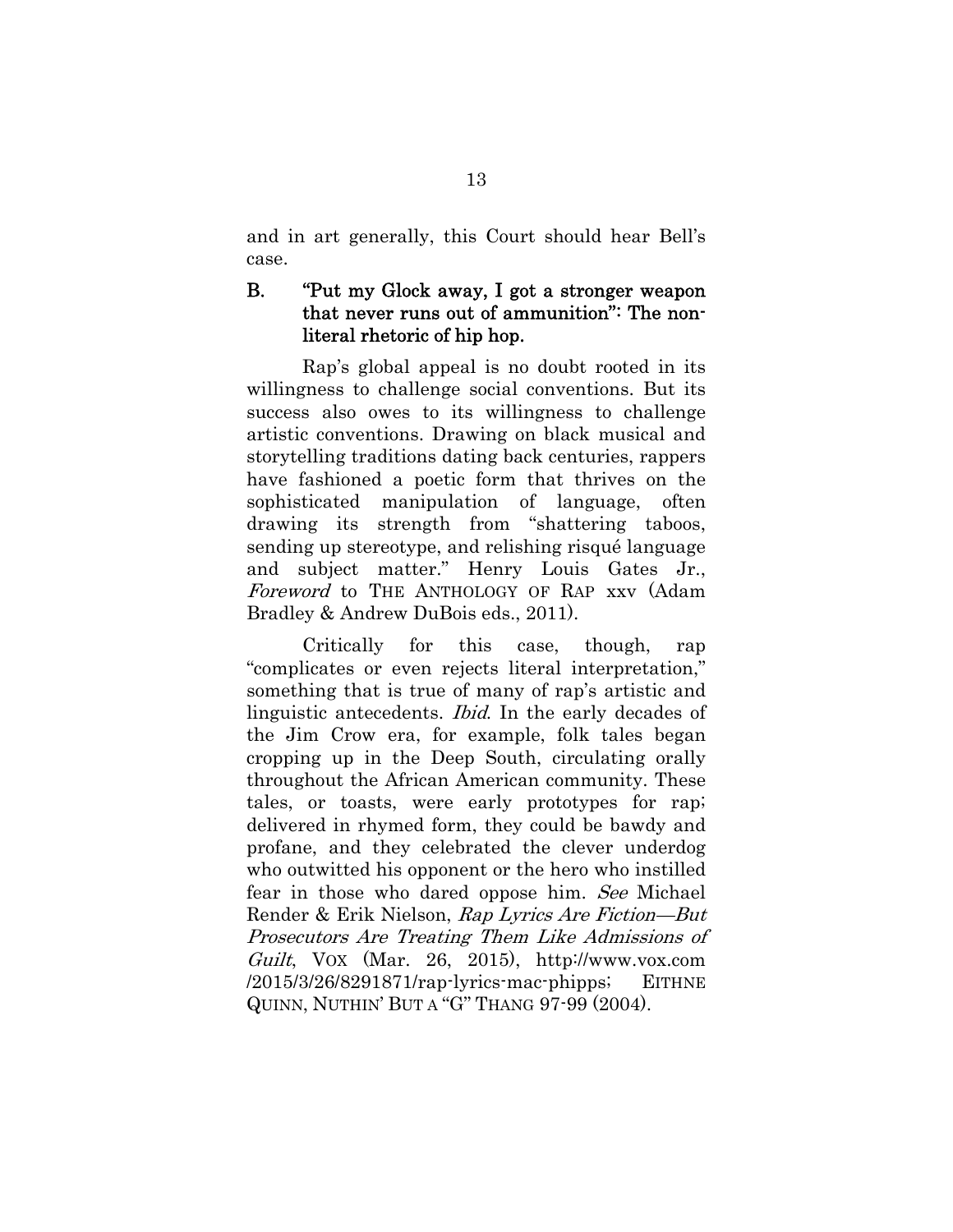and in art generally, this Court should hear Bell's case.

## B. "Put my Glock away, I got a stronger weapon that never runs out of ammunition": The nonliteral rhetoric of hip hop.

 Rap's global appeal is no doubt rooted in its willingness to challenge social conventions. But its success also owes to its willingness to challenge artistic conventions. Drawing on black musical and storytelling traditions dating back centuries, rappers have fashioned a poetic form that thrives on the sophisticated manipulation of language, often drawing its strength from "shattering taboos, sending up stereotype, and relishing risqué language and subject matter." Henry Louis Gates Jr., Foreword to THE ANTHOLOGY OF RAP xxv (Adam Bradley & Andrew DuBois eds., 2011).

Critically for this case, though, rap "complicates or even rejects literal interpretation," something that is true of many of rap's artistic and linguistic antecedents. Ibid. In the early decades of the Jim Crow era, for example, folk tales began cropping up in the Deep South, circulating orally throughout the African American community. These tales, or toasts, were early prototypes for rap; delivered in rhymed form, they could be bawdy and profane, and they celebrated the clever underdog who outwitted his opponent or the hero who instilled fear in those who dared oppose him. See Michael Render & Erik Nielson, Rap Lyrics Are Fiction—But Prosecutors Are Treating Them Like Admissions of Guilt, VOX (Mar. 26, 2015), http://www.vox.com  $/2015/3/26/8291871$ /rap-lyrics-mac-phipps; EITHNE QUINN, NUTHIN' BUT A "G" THANG 97-99 (2004).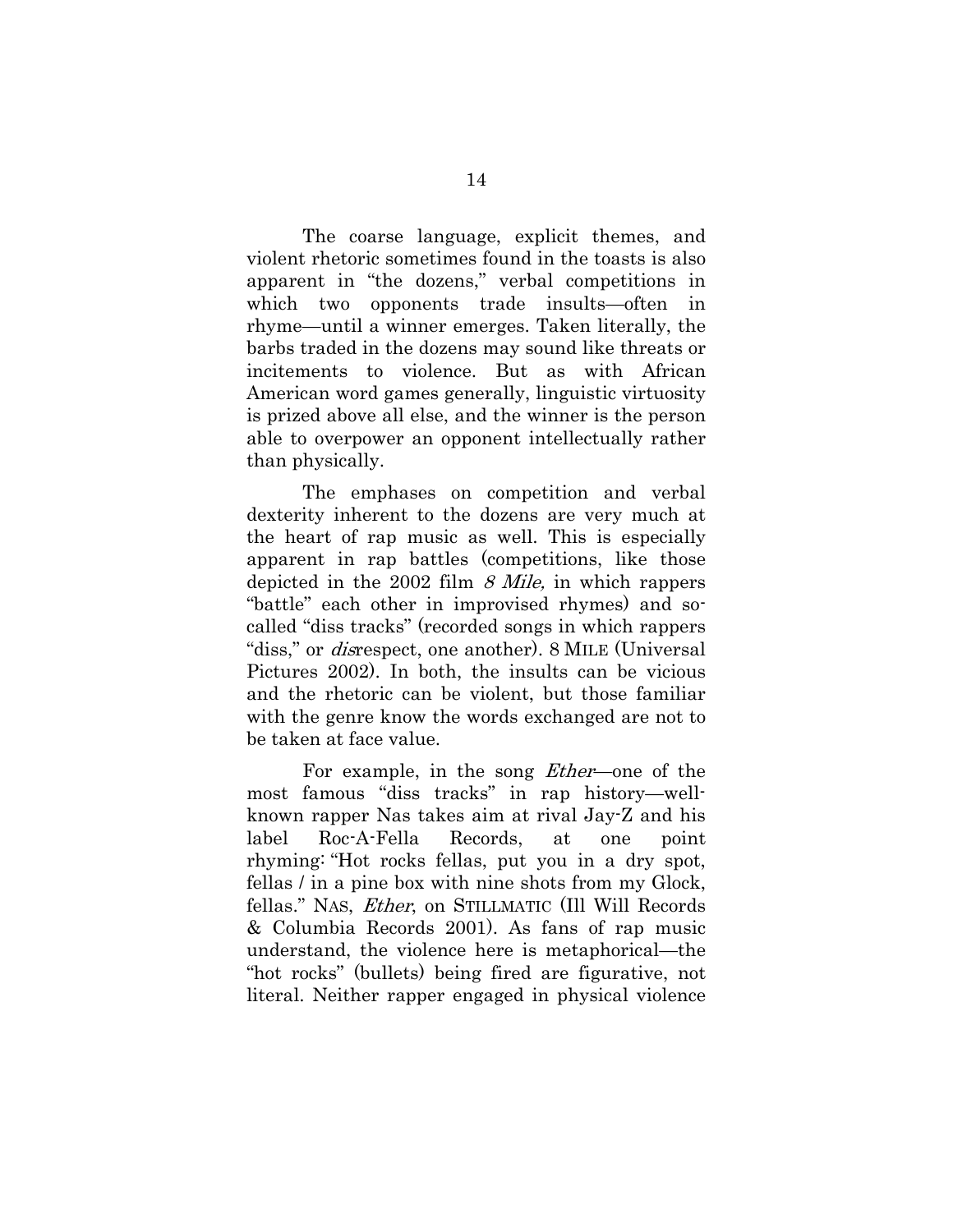The coarse language, explicit themes, and violent rhetoric sometimes found in the toasts is also apparent in "the dozens," verbal competitions in which two opponents trade insults—often in rhyme—until a winner emerges. Taken literally, the barbs traded in the dozens may sound like threats or incitements to violence. But as with African American word games generally, linguistic virtuosity is prized above all else, and the winner is the person able to overpower an opponent intellectually rather than physically.

The emphases on competition and verbal dexterity inherent to the dozens are very much at the heart of rap music as well. This is especially apparent in rap battles (competitions, like those depicted in the 2002 film  $\beta$  Mile, in which rappers "battle" each other in improvised rhymes) and socalled "diss tracks" (recorded songs in which rappers "diss," or *disrespect*, one another). 8 MILE (Universal Pictures 2002). In both, the insults can be vicious and the rhetoric can be violent, but those familiar with the genre know the words exchanged are not to be taken at face value.

For example, in the song Ether—one of the most famous "diss tracks" in rap history—wellknown rapper Nas takes aim at rival Jay-Z and his label Roc-A-Fella Records, at one point rhyming: "Hot rocks fellas, put you in a dry spot, fellas / in a pine box with nine shots from my Glock, fellas." NAS, Ether, on STILLMATIC (Ill Will Records & Columbia Records 2001). As fans of rap music understand, the violence here is metaphorical—the "hot rocks" (bullets) being fired are figurative, not literal. Neither rapper engaged in physical violence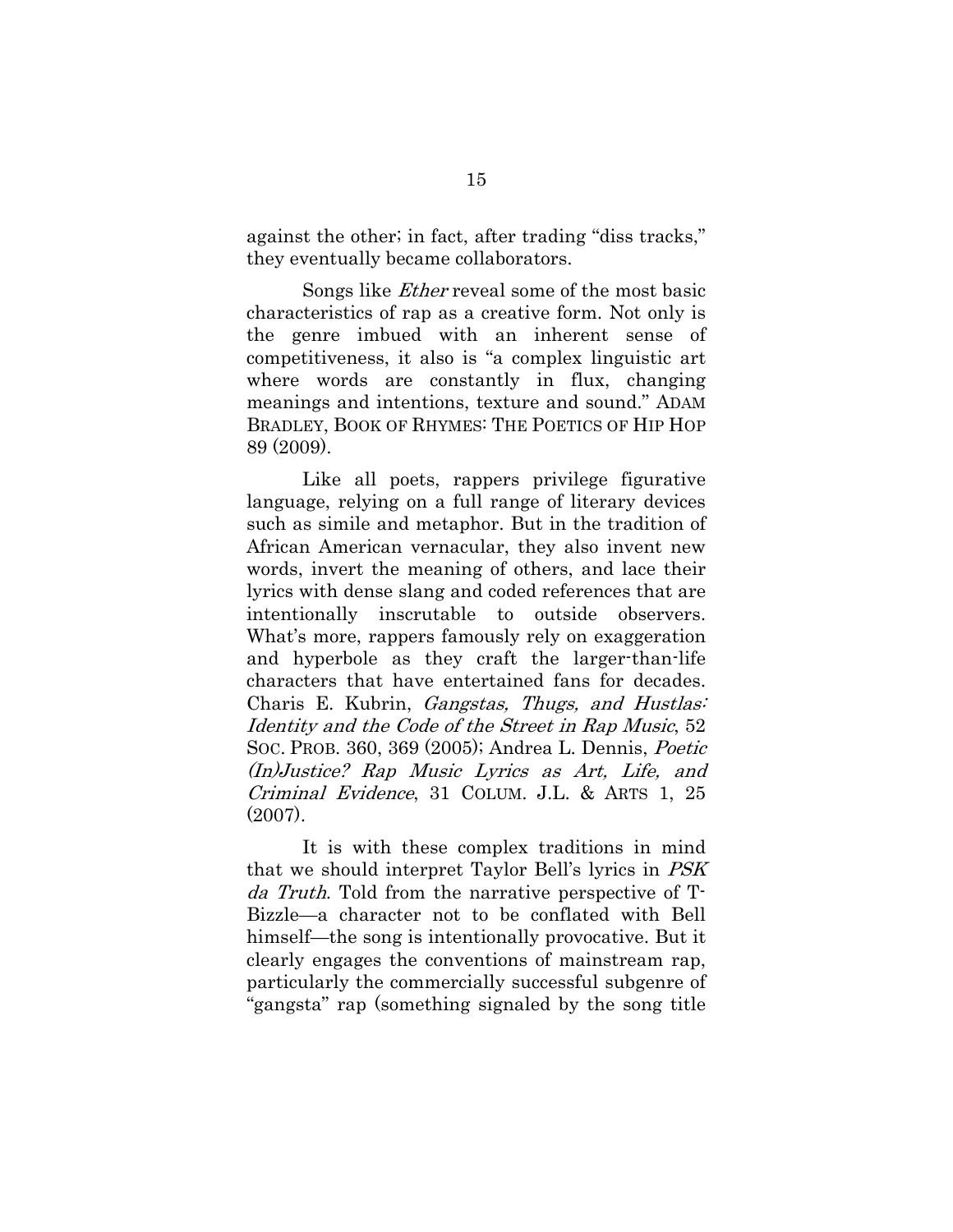against the other; in fact, after trading "diss tracks," they eventually became collaborators.

Songs like Ether reveal some of the most basic characteristics of rap as a creative form. Not only is the genre imbued with an inherent sense of competitiveness, it also is "a complex linguistic art where words are constantly in flux, changing meanings and intentions, texture and sound." ADAM BRADLEY, BOOK OF RHYMES: THE POETICS OF HIP HOP 89 (2009).

Like all poets, rappers privilege figurative language, relying on a full range of literary devices such as simile and metaphor. But in the tradition of African American vernacular, they also invent new words, invert the meaning of others, and lace their lyrics with dense slang and coded references that are intentionally inscrutable to outside observers. What's more, rappers famously rely on exaggeration and hyperbole as they craft the larger-than-life characters that have entertained fans for decades. Charis E. Kubrin, *Gangstas, Thugs, and Hustlas*: Identity and the Code of the Street in Rap Music, 52 SOC. PROB. 360, 369 (2005); Andrea L. Dennis, Poetic (In)Justice? Rap Music Lyrics as Art, Life, and Criminal Evidence, 31 COLUM. J.L. & ARTS 1, 25 (2007).

It is with these complex traditions in mind that we should interpret Taylor Bell's lyrics in PSK da Truth. Told from the narrative perspective of T-Bizzle—a character not to be conflated with Bell himself—the song is intentionally provocative. But it clearly engages the conventions of mainstream rap, particularly the commercially successful subgenre of "gangsta" rap (something signaled by the song title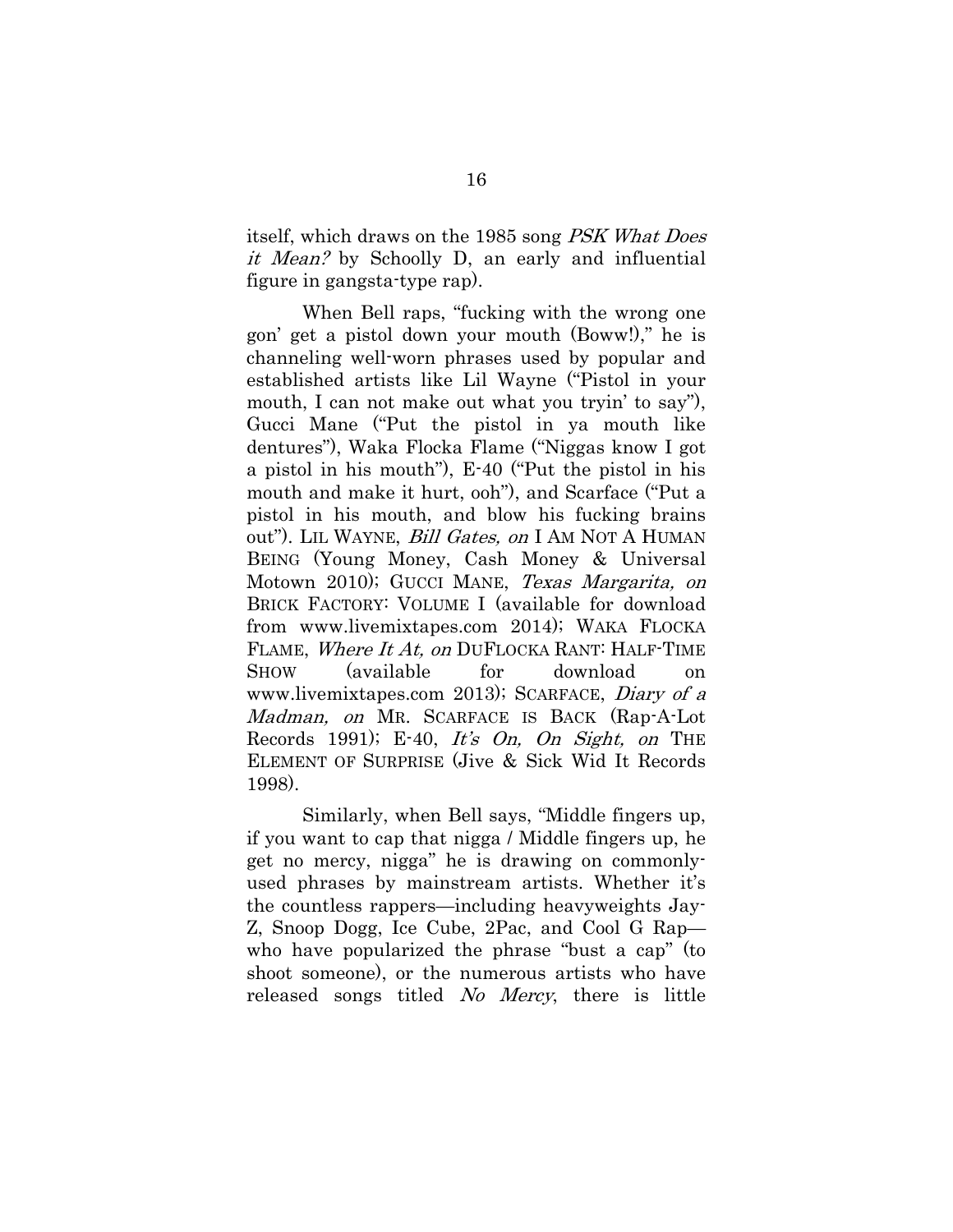itself, which draws on the 1985 song PSK What Does it Mean? by Schoolly D, an early and influential figure in gangsta-type rap).

When Bell raps, "fucking with the wrong one gon' get a pistol down your mouth (Boww!)," he is channeling well-worn phrases used by popular and established artists like Lil Wayne ("Pistol in your mouth, I can not make out what you tryin' to say"), Gucci Mane ("Put the pistol in ya mouth like dentures"), Waka Flocka Flame ("Niggas know I got a pistol in his mouth"), E-40 ("Put the pistol in his mouth and make it hurt, ooh"), and Scarface ("Put a pistol in his mouth, and blow his fucking brains out"). LIL WAYNE, *Bill Gates, on* I AM NOT A HUMAN BEING (Young Money, Cash Money & Universal Motown 2010); GUCCI MANE, Texas Margarita, on BRICK FACTORY: VOLUME I (available for download from www.livemixtapes.com 2014); WAKA FLOCKA FLAME, Where It At, on DUFLOCKA RANT: HALF-TIME SHOW (available for download on www.livemixtapes.com 2013); SCARFACE, Diary of a Madman, on MR. SCARFACE IS BACK (Rap-A-Lot Records 1991); E-40, It's  $On$ ,  $On$  Sight, on THE ELEMENT OF SURPRISE (Jive & Sick Wid It Records 1998).

Similarly, when Bell says, "Middle fingers up, if you want to cap that nigga / Middle fingers up, he get no mercy, nigga" he is drawing on commonlyused phrases by mainstream artists. Whether it's the countless rappers—including heavyweights Jay-Z, Snoop Dogg, Ice Cube, 2Pac, and Cool G Rap who have popularized the phrase "bust a cap" (to shoot someone), or the numerous artists who have released songs titled No Mercy, there is little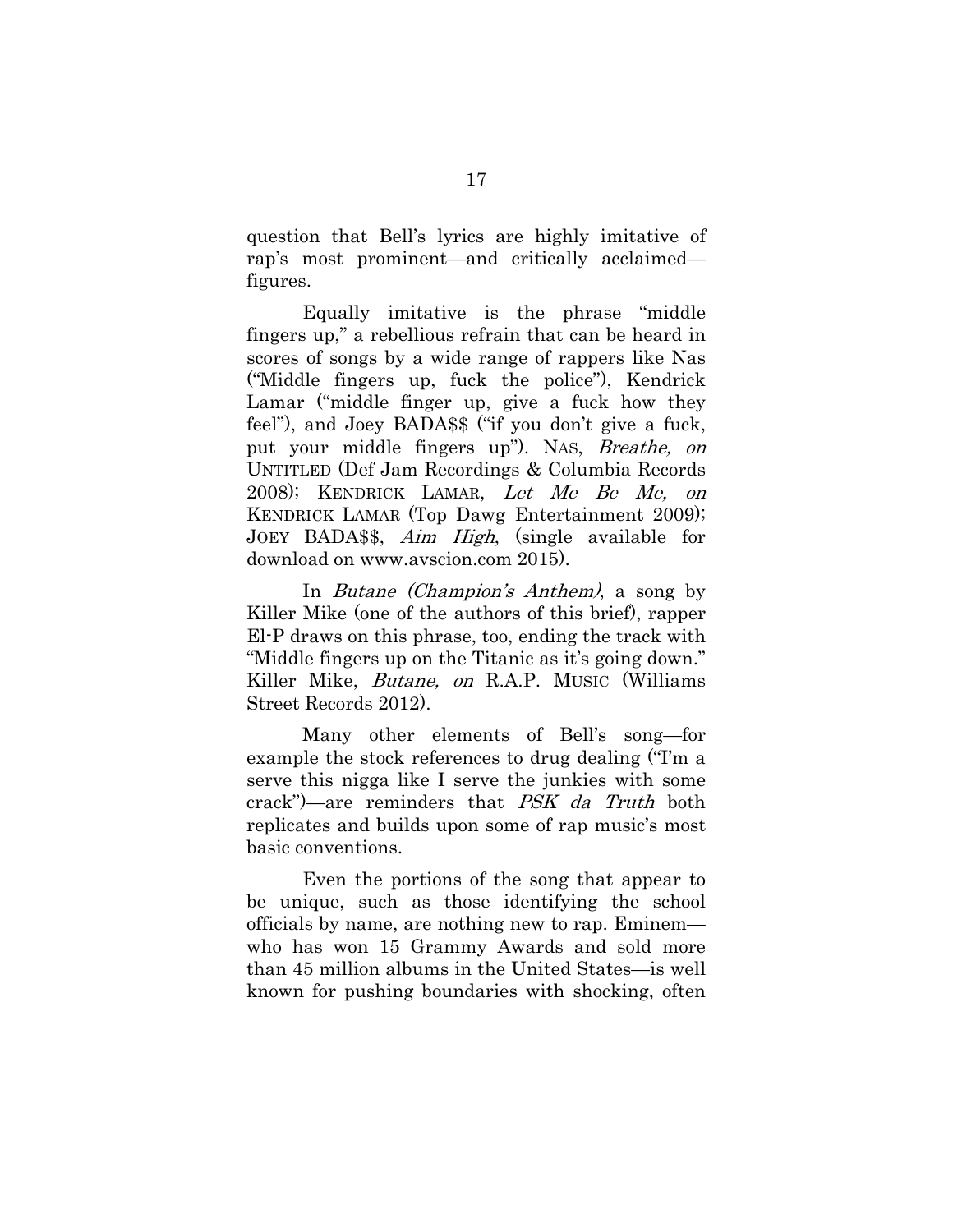question that Bell's lyrics are highly imitative of rap's most prominent—and critically acclaimed figures.

Equally imitative is the phrase "middle fingers up," a rebellious refrain that can be heard in scores of songs by a wide range of rappers like Nas ("Middle fingers up, fuck the police"), Kendrick Lamar ("middle finger up, give a fuck how they feel"), and Joey BADA\$\$ ("if you don't give a fuck, put your middle fingers up"). NAS, Breathe, on UNTITLED (Def Jam Recordings & Columbia Records 2008); KENDRICK LAMAR, Let Me Be Me, on KENDRICK LAMAR (Top Dawg Entertainment 2009); JOEY BADA\$\$, *Aim High*, (single available for download on www.avscion.com 2015).

In Butane (Champion's Anthem), a song by Killer Mike (one of the authors of this brief), rapper El-P draws on this phrase, too, ending the track with "Middle fingers up on the Titanic as it's going down." Killer Mike, Butane, on R.A.P. MUSIC (Williams Street Records 2012).

Many other elements of Bell's song—for example the stock references to drug dealing ("I'm a serve this nigga like I serve the junkies with some crack")—are reminders that PSK da Truth both replicates and builds upon some of rap music's most basic conventions.

Even the portions of the song that appear to be unique, such as those identifying the school officials by name, are nothing new to rap. Eminem who has won 15 Grammy Awards and sold more than 45 million albums in the United States—is well known for pushing boundaries with shocking, often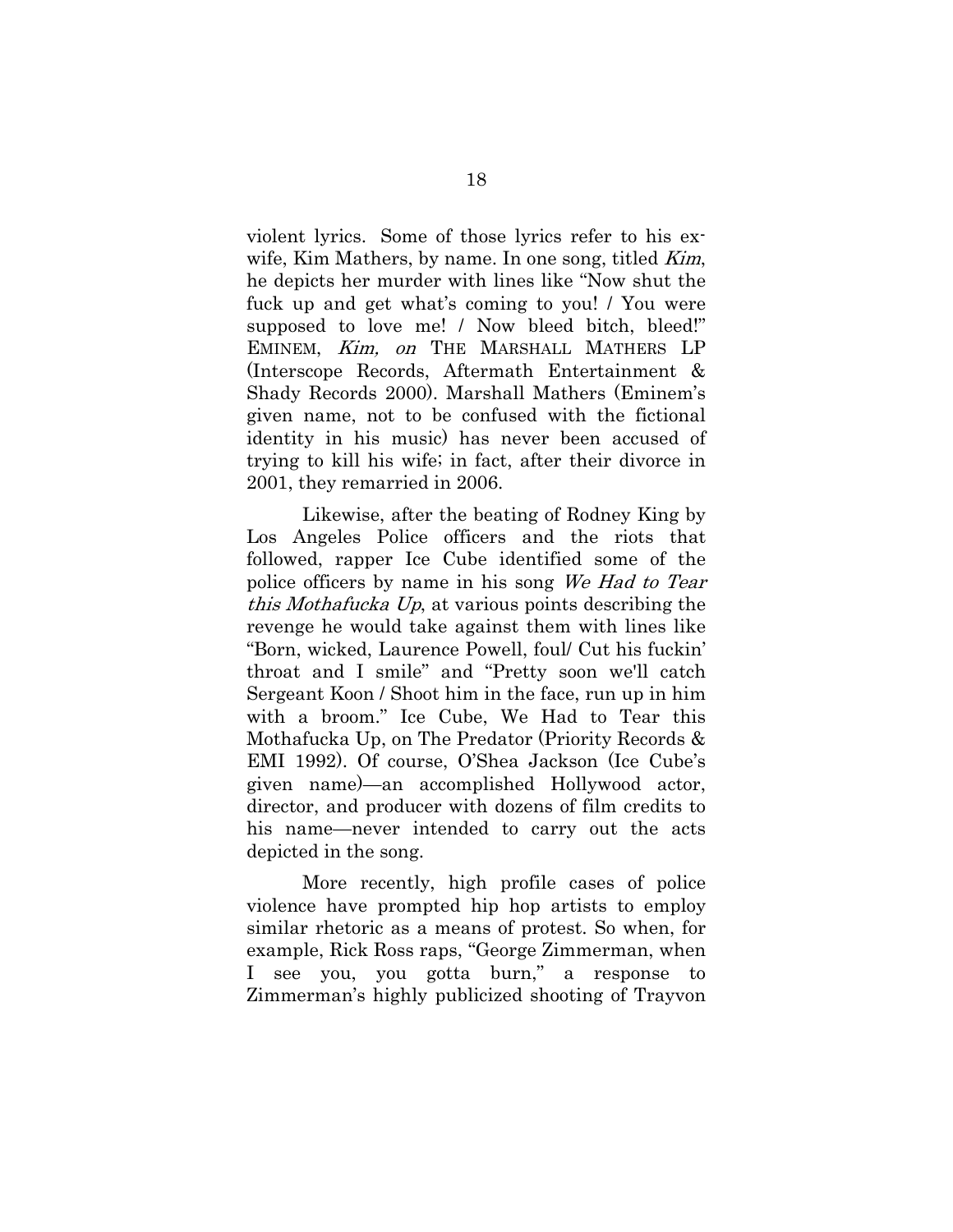violent lyrics. Some of those lyrics refer to his exwife, Kim Mathers, by name. In one song, titled *Kim*, he depicts her murder with lines like "Now shut the fuck up and get what's coming to you! / You were supposed to love me! / Now bleed bitch, bleed!" EMINEM, Kim, on THE MARSHALL MATHERS LP (Interscope Records, Aftermath Entertainment & Shady Records 2000). Marshall Mathers (Eminem's given name, not to be confused with the fictional identity in his music) has never been accused of trying to kill his wife; in fact, after their divorce in 2001, they remarried in 2006.

Likewise, after the beating of Rodney King by Los Angeles Police officers and the riots that followed, rapper Ice Cube identified some of the police officers by name in his song We Had to Tear this Mothafucka Up, at various points describing the revenge he would take against them with lines like "Born, wicked, Laurence Powell, foul/ Cut his fuckin' throat and I smile" and "Pretty soon we'll catch Sergeant Koon / Shoot him in the face, run up in him with a broom." Ice Cube, We Had to Tear this Mothafucka Up, on The Predator (Priority Records & EMI 1992). Of course, O'Shea Jackson (Ice Cube's given name)—an accomplished Hollywood actor, director, and producer with dozens of film credits to his name—never intended to carry out the acts depicted in the song.

More recently, high profile cases of police violence have prompted hip hop artists to employ similar rhetoric as a means of protest. So when, for example, Rick Ross raps, "George Zimmerman, when I see you, you gotta burn," a response to Zimmerman's highly publicized shooting of Trayvon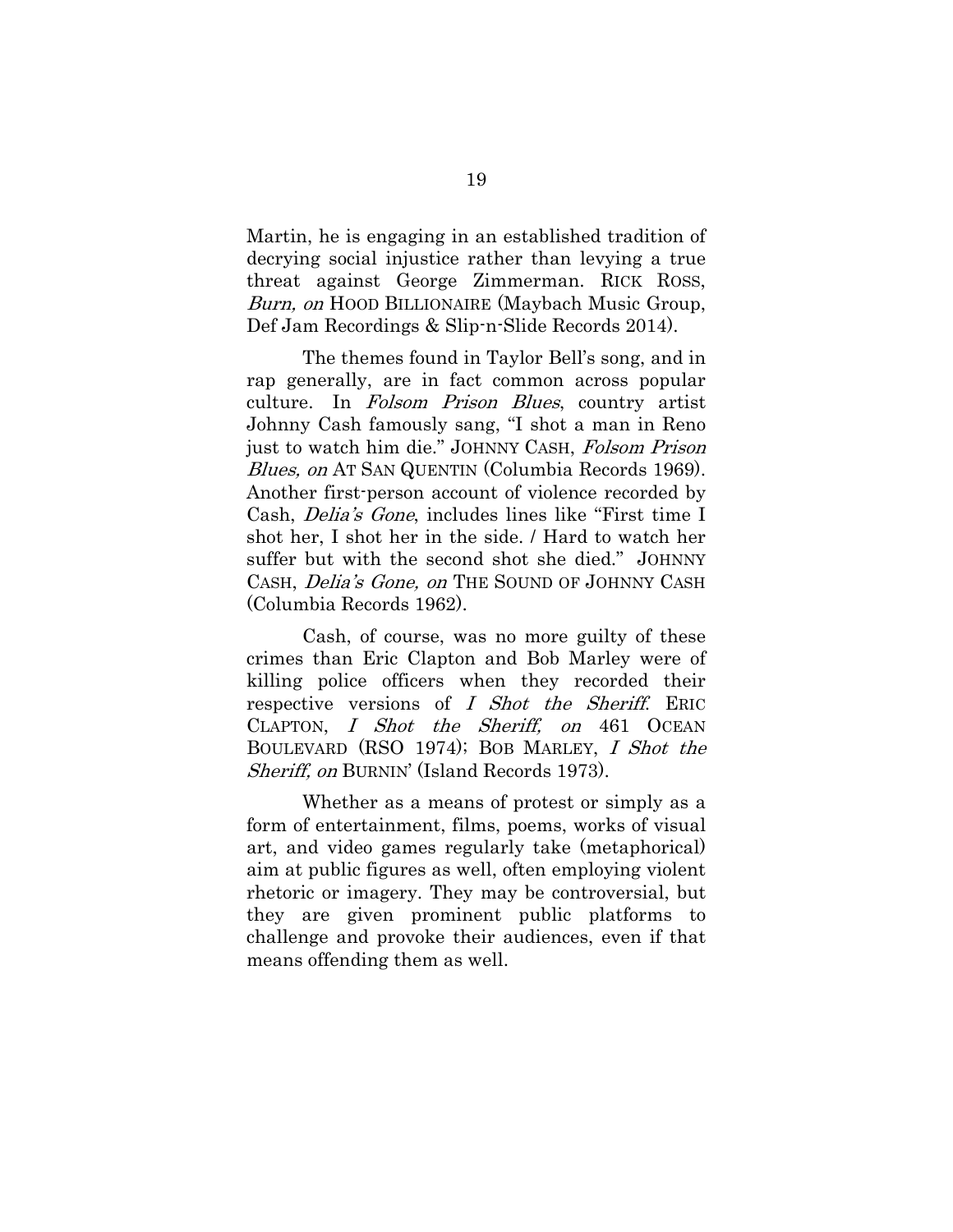Martin, he is engaging in an established tradition of decrying social injustice rather than levying a true threat against George Zimmerman. RICK ROSS, Burn, on HOOD BILLIONAIRE (Maybach Music Group, Def Jam Recordings & Slip-n-Slide Records 2014).

The themes found in Taylor Bell's song, and in rap generally, are in fact common across popular culture. In Folsom Prison Blues, country artist Johnny Cash famously sang, "I shot a man in Reno just to watch him die." JOHNNY CASH, Folsom Prison Blues, on AT SAN QUENTIN (Columbia Records 1969). Another first-person account of violence recorded by Cash, Delia's Gone, includes lines like "First time I shot her, I shot her in the side. / Hard to watch her suffer but with the second shot she died." JOHNNY CASH, Delia's Gone, on THE SOUND OF JOHNNY CASH (Columbia Records 1962).

Cash, of course, was no more guilty of these crimes than Eric Clapton and Bob Marley were of killing police officers when they recorded their respective versions of I Shot the Sheriff. ERIC CLAPTON, I Shot the Sheriff, on 461 OCEAN BOULEVARD (RSO 1974); BOB MARLEY, I Shot the Sheriff, on BURNIN' (Island Records 1973).

 Whether as a means of protest or simply as a form of entertainment, films, poems, works of visual art, and video games regularly take (metaphorical) aim at public figures as well, often employing violent rhetoric or imagery. They may be controversial, but they are given prominent public platforms to challenge and provoke their audiences, even if that means offending them as well.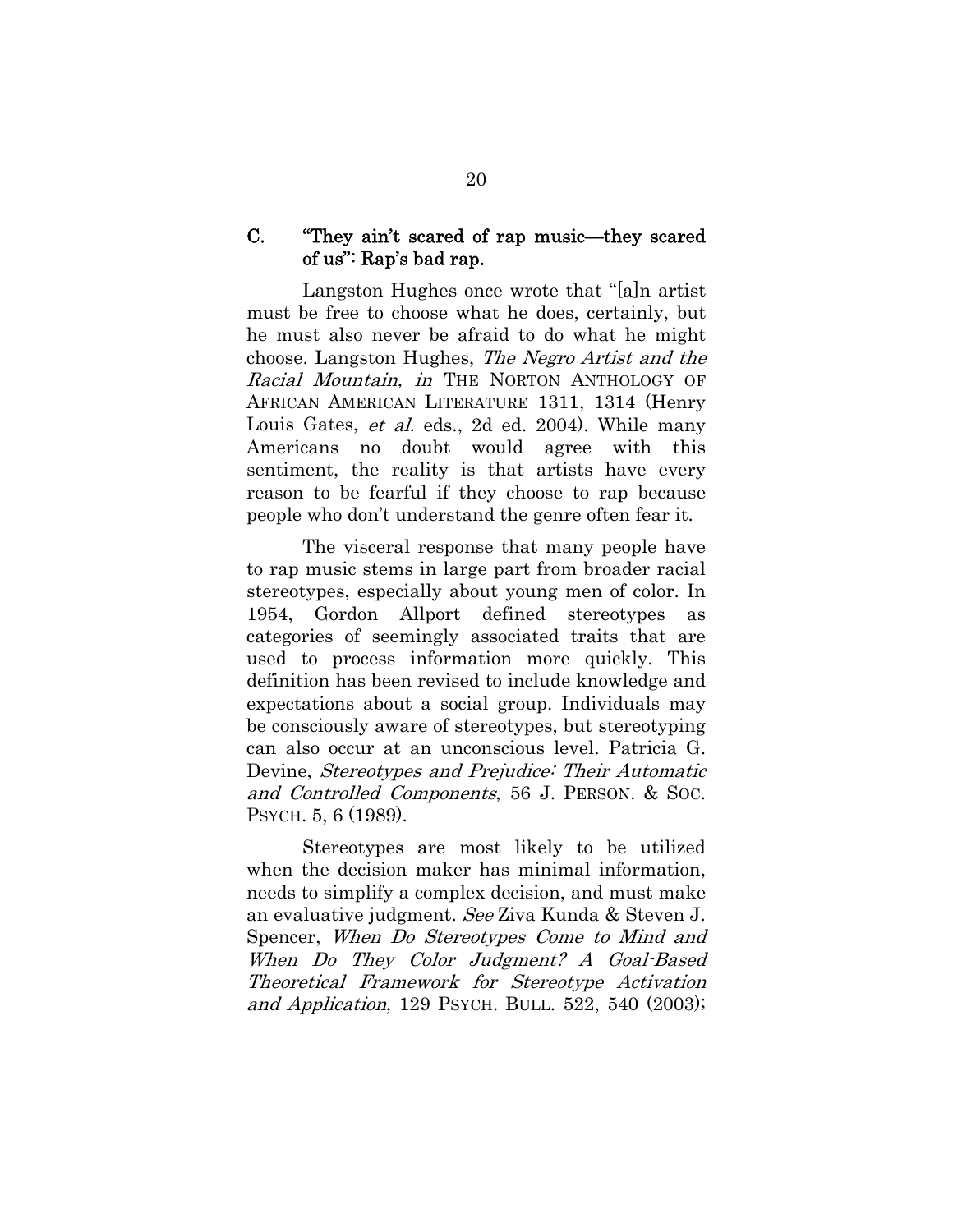## C. "They ain't scared of rap music—they scared of us": Rap's bad rap.

Langston Hughes once wrote that "[a]n artist must be free to choose what he does, certainly, but he must also never be afraid to do what he might choose. Langston Hughes, The Negro Artist and the Racial Mountain, in THE NORTON ANTHOLOGY OF AFRICAN AMERICAN LITERATURE 1311, 1314 (Henry Louis Gates, *et al.* eds., 2d ed. 2004). While many Americans no doubt would agree with this sentiment, the reality is that artists have every reason to be fearful if they choose to rap because people who don't understand the genre often fear it.

The visceral response that many people have to rap music stems in large part from broader racial stereotypes, especially about young men of color. In 1954, Gordon Allport defined stereotypes as categories of seemingly associated traits that are used to process information more quickly. This definition has been revised to include knowledge and expectations about a social group. Individuals may be consciously aware of stereotypes, but stereotyping can also occur at an unconscious level. Patricia G. Devine, *Stereotypes and Prejudice: Their Automatic* and Controlled Components, 56 J. PERSON. & SOC. PSYCH. 5, 6 (1989).

Stereotypes are most likely to be utilized when the decision maker has minimal information, needs to simplify a complex decision, and must make an evaluative judgment. See Ziva Kunda & Steven J. Spencer, When Do Stereotypes Come to Mind and When Do They Color Judgment? A Goal-Based Theoretical Framework for Stereotype Activation and Application, 129 PSYCH. BULL. 522, 540 (2003);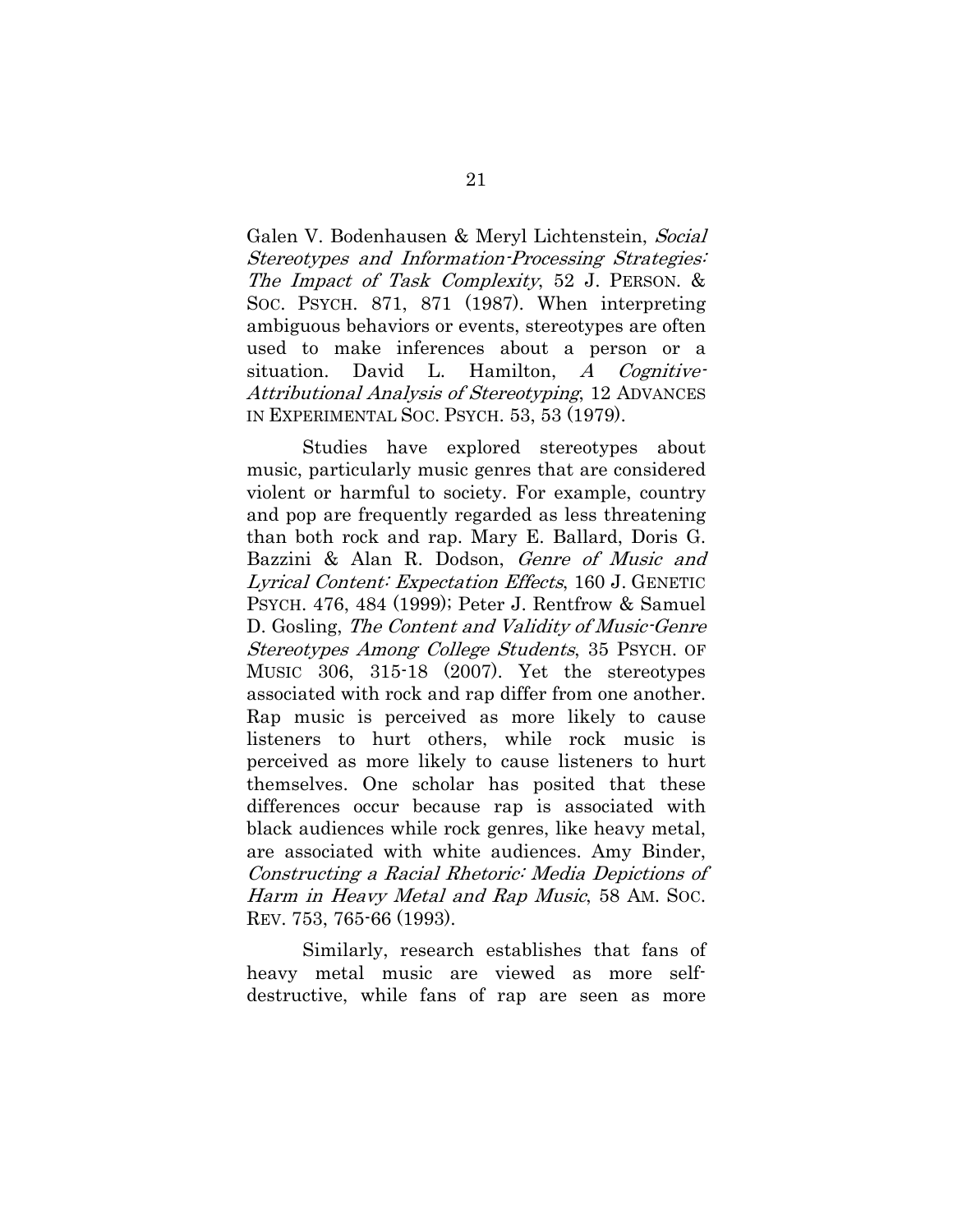Galen V. Bodenhausen & Meryl Lichtenstein, Social Stereotypes and Information-Processing Strategies: The Impact of Task Complexity, 52 J. PERSON. & SOC. PSYCH. 871, 871 (1987). When interpreting ambiguous behaviors or events, stereotypes are often used to make inferences about a person or a situation. David L. Hamilton,  $A$  Cognitive-Attributional Analysis of Stereotyping, 12 ADVANCES IN EXPERIMENTAL SOC. PSYCH. 53, 53 (1979).

Studies have explored stereotypes about music, particularly music genres that are considered violent or harmful to society. For example, country and pop are frequently regarded as less threatening than both rock and rap. Mary E. Ballard, Doris G. Bazzini & Alan R. Dodson, Genre of Music and Lyrical Content: Expectation Effects, 160 J. GENETIC PSYCH. 476, 484 (1999); Peter J. Rentfrow & Samuel D. Gosling, The Content and Validity of Music-Genre Stereotypes Among College Students, 35 PSYCH. OF MUSIC 306, 315-18 (2007). Yet the stereotypes associated with rock and rap differ from one another. Rap music is perceived as more likely to cause listeners to hurt others, while rock music is perceived as more likely to cause listeners to hurt themselves. One scholar has posited that these differences occur because rap is associated with black audiences while rock genres, like heavy metal, are associated with white audiences. Amy Binder, Constructing a Racial Rhetoric: Media Depictions of Harm in Heavy Metal and Rap Music, 58 AM. Soc. REV. 753, 765-66 (1993).

Similarly, research establishes that fans of heavy metal music are viewed as more selfdestructive, while fans of rap are seen as more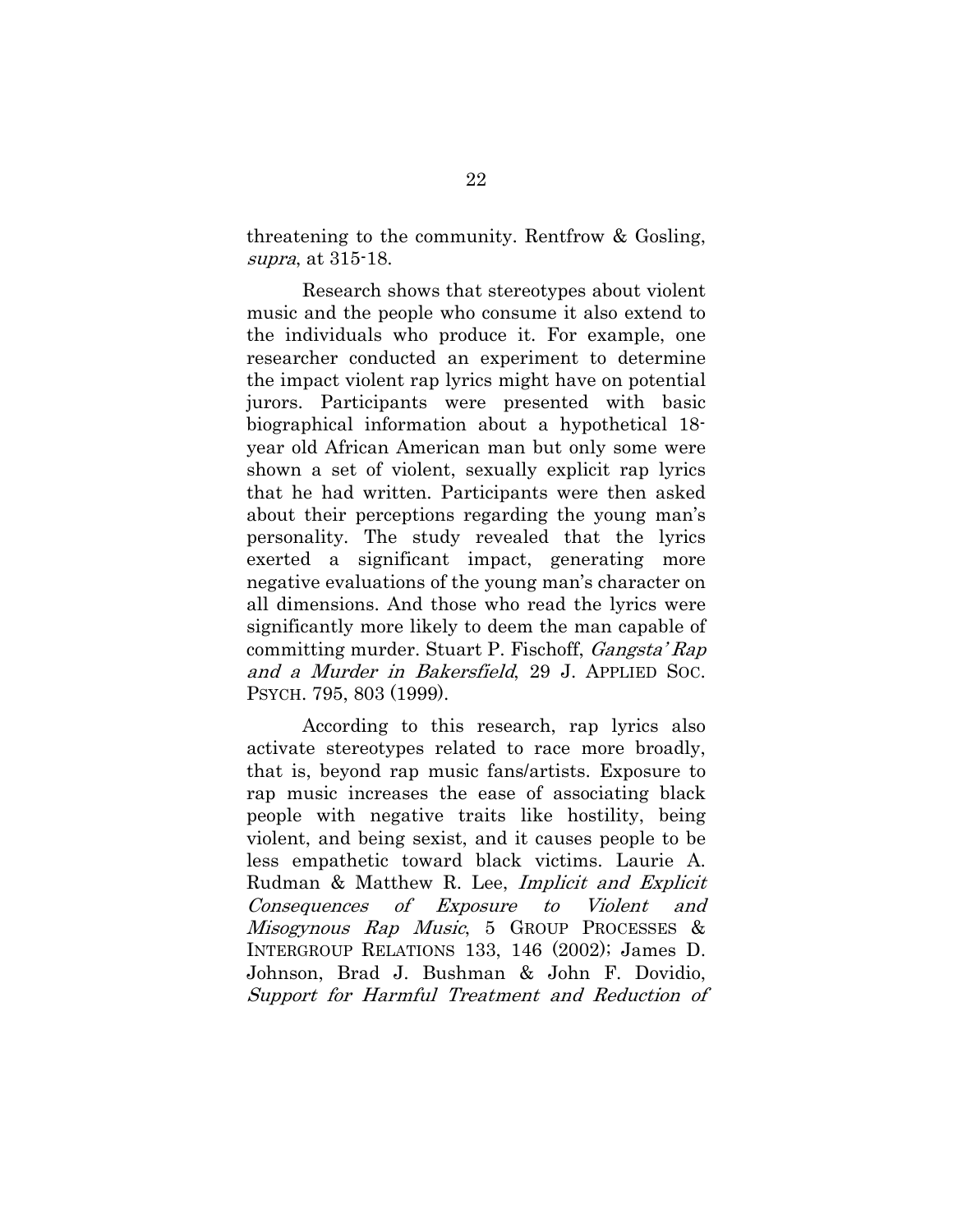threatening to the community. Rentfrow & Gosling, supra, at 315-18.

Research shows that stereotypes about violent music and the people who consume it also extend to the individuals who produce it. For example, one researcher conducted an experiment to determine the impact violent rap lyrics might have on potential jurors. Participants were presented with basic biographical information about a hypothetical 18 year old African American man but only some were shown a set of violent, sexually explicit rap lyrics that he had written. Participants were then asked about their perceptions regarding the young man's personality. The study revealed that the lyrics exerted a significant impact, generating more negative evaluations of the young man's character on all dimensions. And those who read the lyrics were significantly more likely to deem the man capable of committing murder. Stuart P. Fischoff, Gangsta' Rap and a Murder in Bakersfield, 29 J. APPLIED SOC. PSYCH. 795, 803 (1999).

According to this research, rap lyrics also activate stereotypes related to race more broadly, that is, beyond rap music fans/artists. Exposure to rap music increases the ease of associating black people with negative traits like hostility, being violent, and being sexist, and it causes people to be less empathetic toward black victims. Laurie A. Rudman & Matthew R. Lee, Implicit and Explicit Consequences of Exposure to Violent and Misogynous Rap Music, 5 GROUP PROCESSES & INTERGROUP RELATIONS 133, 146 (2002); James D. Johnson, Brad J. Bushman & John F. Dovidio, Support for Harmful Treatment and Reduction of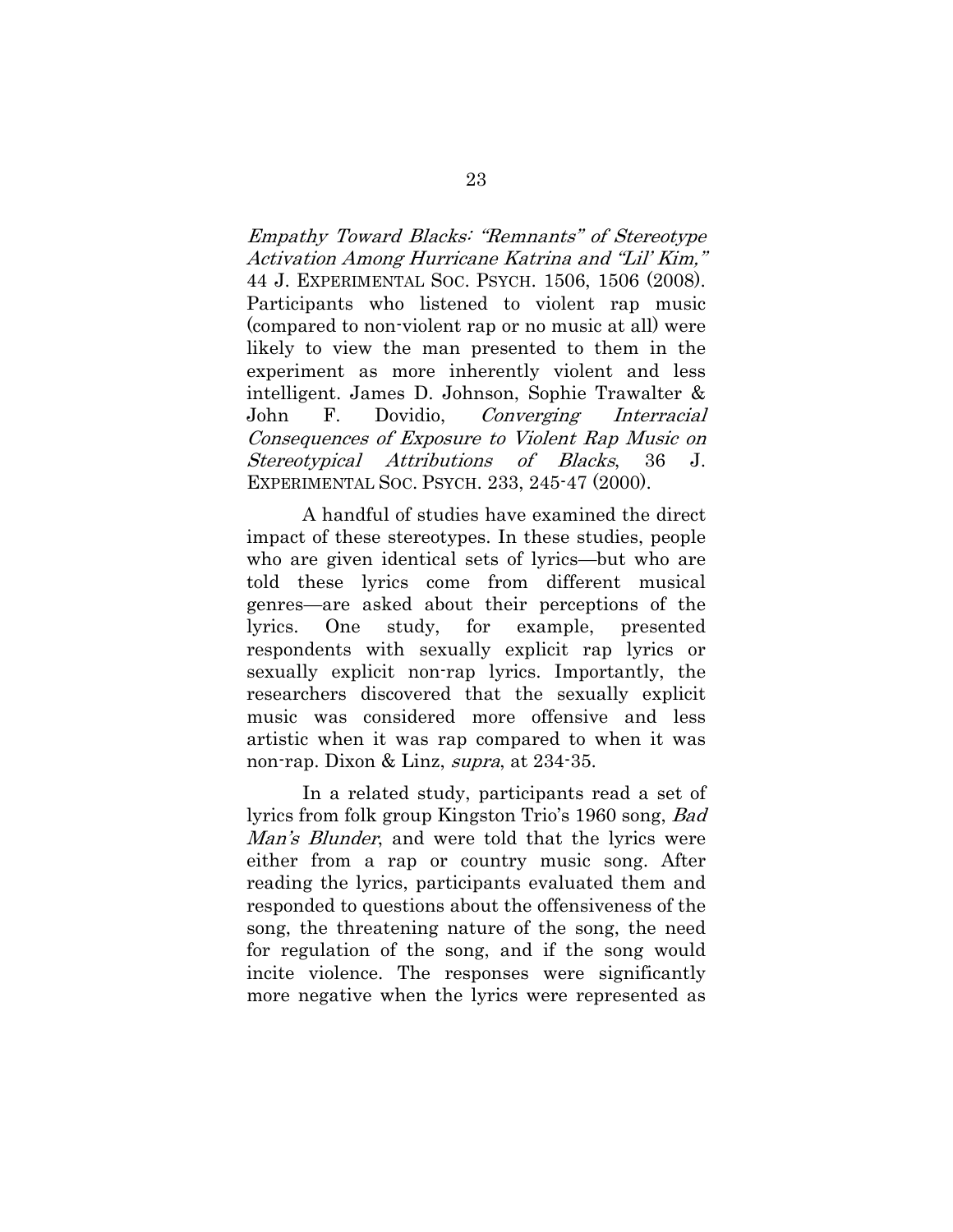Empathy Toward Blacks: "Remnants" of Stereotype Activation Among Hurricane Katrina and "Lil' Kim," 44 J. EXPERIMENTAL SOC. PSYCH. 1506, 1506 (2008). Participants who listened to violent rap music (compared to non-violent rap or no music at all) were likely to view the man presented to them in the experiment as more inherently violent and less intelligent. James D. Johnson, Sophie Trawalter & John F. Dovidio, Converging Interracial Consequences of Exposure to Violent Rap Music on Stereotypical Attributions of Blacks, 36 J. EXPERIMENTAL SOC. PSYCH. 233, 245-47 (2000).

A handful of studies have examined the direct impact of these stereotypes. In these studies, people who are given identical sets of lyrics—but who are told these lyrics come from different musical genres—are asked about their perceptions of the lyrics. One study, for example, presented respondents with sexually explicit rap lyrics or sexually explicit non-rap lyrics. Importantly, the researchers discovered that the sexually explicit music was considered more offensive and less artistic when it was rap compared to when it was non-rap. Dixon & Linz, supra, at 234-35.

In a related study, participants read a set of lyrics from folk group Kingston Trio's 1960 song, Bad Man's Blunder, and were told that the lyrics were either from a rap or country music song. After reading the lyrics, participants evaluated them and responded to questions about the offensiveness of the song, the threatening nature of the song, the need for regulation of the song, and if the song would incite violence. The responses were significantly more negative when the lyrics were represented as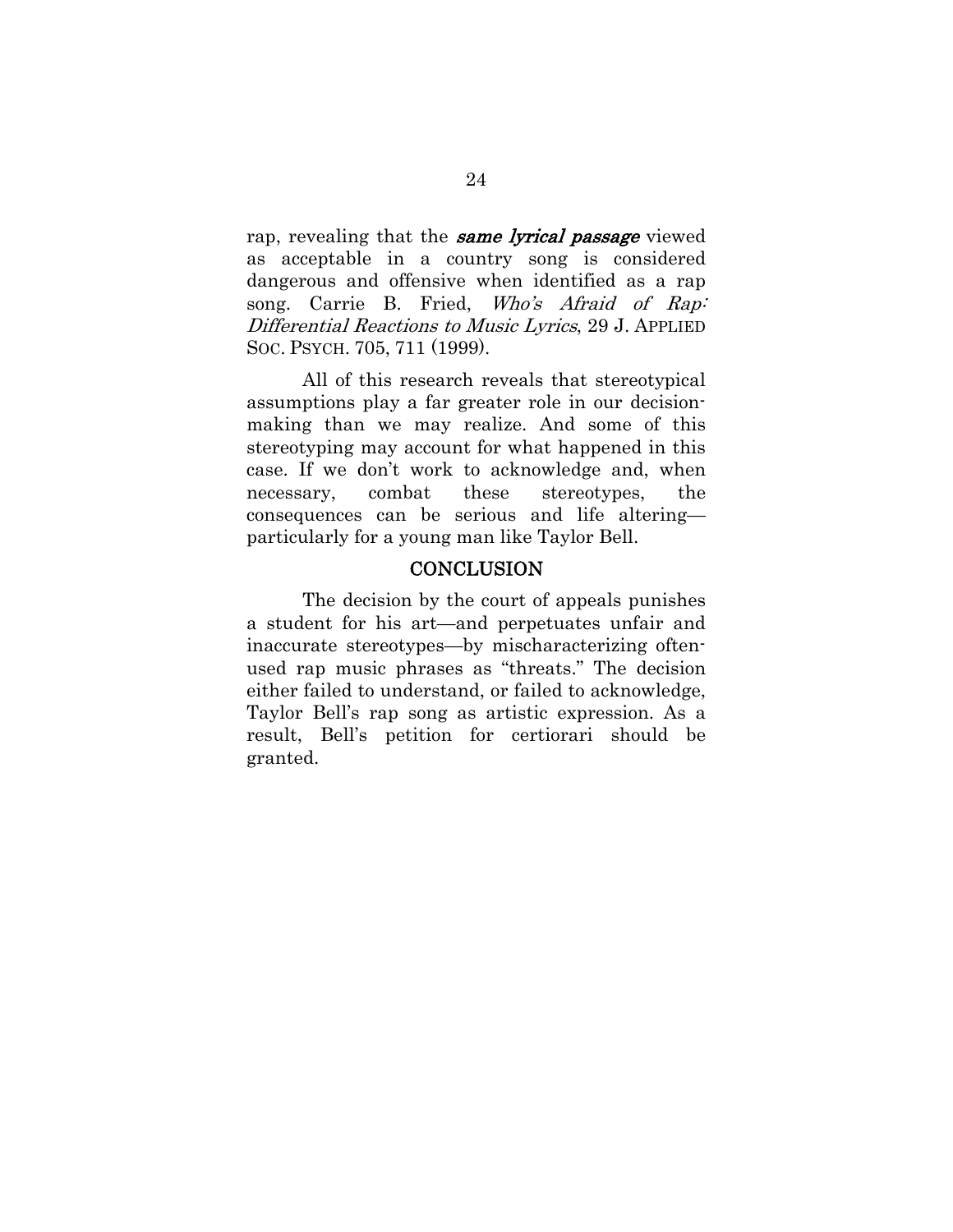rap, revealing that the **same lyrical passage** viewed as acceptable in a country song is considered dangerous and offensive when identified as a rap song. Carrie B. Fried, Who's Afraid of Rap: Differential Reactions to Music Lyrics, 29 J. APPLIED SOC. PSYCH. 705, 711 (1999).

All of this research reveals that stereotypical assumptions play a far greater role in our decisionmaking than we may realize. And some of this stereotyping may account for what happened in this case. If we don't work to acknowledge and, when necessary, combat these stereotypes, the consequences can be serious and life altering particularly for a young man like Taylor Bell.

### **CONCLUSION**

 The decision by the court of appeals punishes a student for his art—and perpetuates unfair and inaccurate stereotypes—by mischaracterizing oftenused rap music phrases as "threats." The decision either failed to understand, or failed to acknowledge, Taylor Bell's rap song as artistic expression. As a result, Bell's petition for certiorari should be granted.